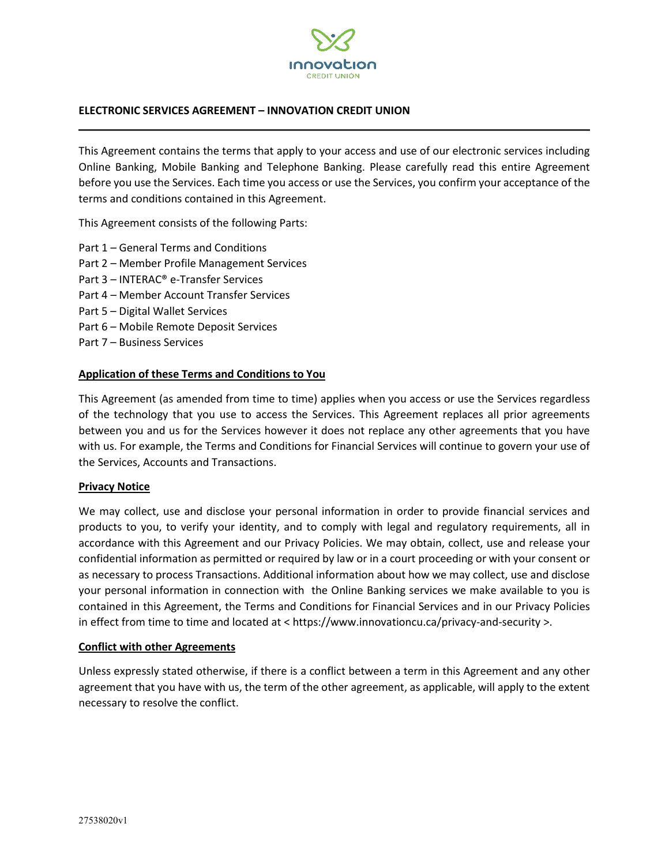

### **ELECTRONIC SERVICES AGREEMENT – INNOVATION CREDIT UNION**

This Agreement contains the terms that apply to your access and use of our electronic services including Online Banking, Mobile Banking and Telephone Banking. Please carefully read this entire Agreement before you use the Services. Each time you access or use the Services, you confirm your acceptance of the terms and conditions contained in this Agreement.

This Agreement consists of the following Parts:

- Part 1 General Terms and Conditions
- Part 2 Member Profile Management Services
- Part 3 INTERAC® e-Transfer Services
- Part 4 Member Account Transfer Services
- Part 5 Digital Wallet Services
- Part 6 Mobile Remote Deposit Services
- Part 7 Business Services

#### **Application of these Terms and Conditions to You**

This Agreement (as amended from time to time) applies when you access or use the Services regardless of the technology that you use to access the Services. This Agreement replaces all prior agreements between you and us for the Services however it does not replace any other agreements that you have with us. For example, the Terms and Conditions for Financial Services will continue to govern your use of the Services, Accounts and Transactions.

#### **Privacy Notice**

We may collect, use and disclose your personal information in order to provide financial services and products to you, to verify your identity, and to comply with legal and regulatory requirements, all in accordance with this Agreement and our Privacy Policies. We may obtain, collect, use and release your confidential information as permitted or required by law or in a court proceeding or with your consent or as necessary to process Transactions. Additional information about how we may collect, use and disclose your personal information in connection with the Online Banking services we make available to you is contained in this Agreement, the Terms and Conditions for Financial Services and in our Privacy Policies in effect from time to time and located at < https://www.innovationcu.ca/privacy-and-security >.

#### **Conflict with other Agreements**

Unless expressly stated otherwise, if there is a conflict between a term in this Agreement and any other agreement that you have with us, the term of the other agreement, as applicable, will apply to the extent necessary to resolve the conflict.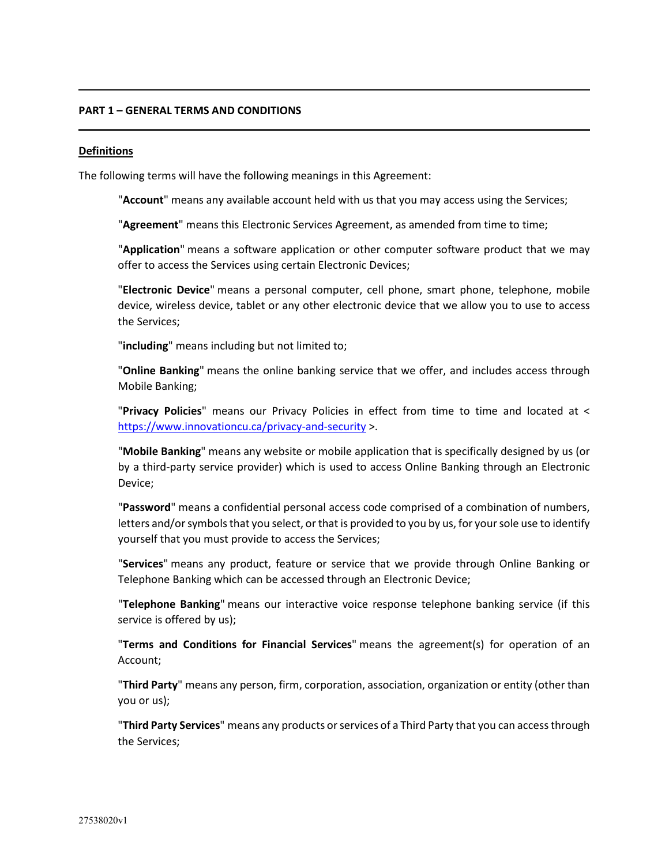### **PART 1 – GENERAL TERMS AND CONDITIONS**

#### **Definitions**

The following terms will have the following meanings in this Agreement:

"**Account**" means any available account held with us that you may access using the Services;

"**Agreement**" means this Electronic Services Agreement, as amended from time to time;

"**Application**" means a software application or other computer software product that we may offer to access the Services using certain Electronic Devices;

"**Electronic Device**" means a personal computer, cell phone, smart phone, telephone, mobile device, wireless device, tablet or any other electronic device that we allow you to use to access the Services;

"**including**" means including but not limited to;

"**Online Banking**" means the online banking service that we offer, and includes access through Mobile Banking;

"**Privacy Policies**" means our Privacy Policies in effect from time to time and located at < <https://www.innovationcu.ca/privacy-and-security> >.

"**Mobile Banking**" means any website or mobile application that is specifically designed by us (or by a third-party service provider) which is used to access Online Banking through an Electronic Device;

"**Password**" means a confidential personal access code comprised of a combination of numbers, letters and/or symbols that you select, or that is provided to you by us, for your sole use to identify yourself that you must provide to access the Services;

"**Services**" means any product, feature or service that we provide through Online Banking or Telephone Banking which can be accessed through an Electronic Device;

"**Telephone Banking**" means our interactive voice response telephone banking service (if this service is offered by us);

"**Terms and Conditions for Financial Services**" means the agreement(s) for operation of an Account;

"**Third Party**" means any person, firm, corporation, association, organization or entity (other than you or us);

"**Third Party Services**" means any products or services of a Third Party that you can access through the Services;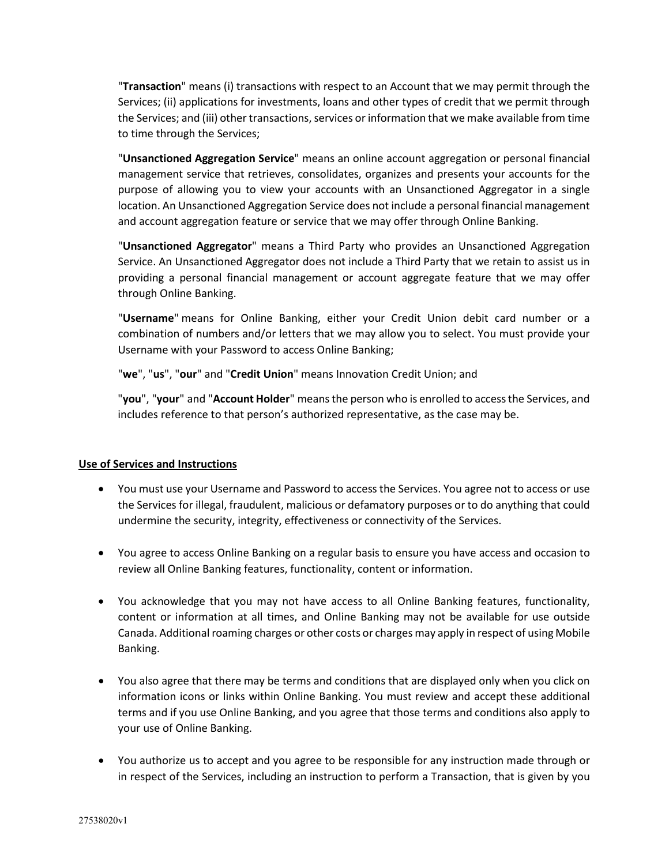"**Transaction**" means (i) transactions with respect to an Account that we may permit through the Services; (ii) applications for investments, loans and other types of credit that we permit through the Services; and (iii) other transactions, services or information that we make available from time to time through the Services;

"**Unsanctioned Aggregation Service**" means an online account aggregation or personal financial management service that retrieves, consolidates, organizes and presents your accounts for the purpose of allowing you to view your accounts with an Unsanctioned Aggregator in a single location. An Unsanctioned Aggregation Service does not include a personal financial management and account aggregation feature or service that we may offer through Online Banking.

"**Unsanctioned Aggregator**" means a Third Party who provides an Unsanctioned Aggregation Service. An Unsanctioned Aggregator does not include a Third Party that we retain to assist us in providing a personal financial management or account aggregate feature that we may offer through Online Banking.

"**Username**" means for Online Banking, either your Credit Union debit card number or a combination of numbers and/or letters that we may allow you to select. You must provide your Username with your Password to access Online Banking;

"**we**", "**us**", "**our**" and "**Credit Union**" means Innovation Credit Union; and

"**you**", "**your**" and "**Account Holder**" means the person who is enrolled to access the Services, and includes reference to that person's authorized representative, as the case may be.

# **Use of Services and Instructions**

- You must use your Username and Password to access the Services. You agree not to access or use the Services for illegal, fraudulent, malicious or defamatory purposes or to do anything that could undermine the security, integrity, effectiveness or connectivity of the Services.
- You agree to access Online Banking on a regular basis to ensure you have access and occasion to review all Online Banking features, functionality, content or information.
- You acknowledge that you may not have access to all Online Banking features, functionality, content or information at all times, and Online Banking may not be available for use outside Canada. Additional roaming charges or other costs or charges may apply in respect of using Mobile Banking.
- You also agree that there may be terms and conditions that are displayed only when you click on information icons or links within Online Banking. You must review and accept these additional terms and if you use Online Banking, and you agree that those terms and conditions also apply to your use of Online Banking.
- You authorize us to accept and you agree to be responsible for any instruction made through or in respect of the Services, including an instruction to perform a Transaction, that is given by you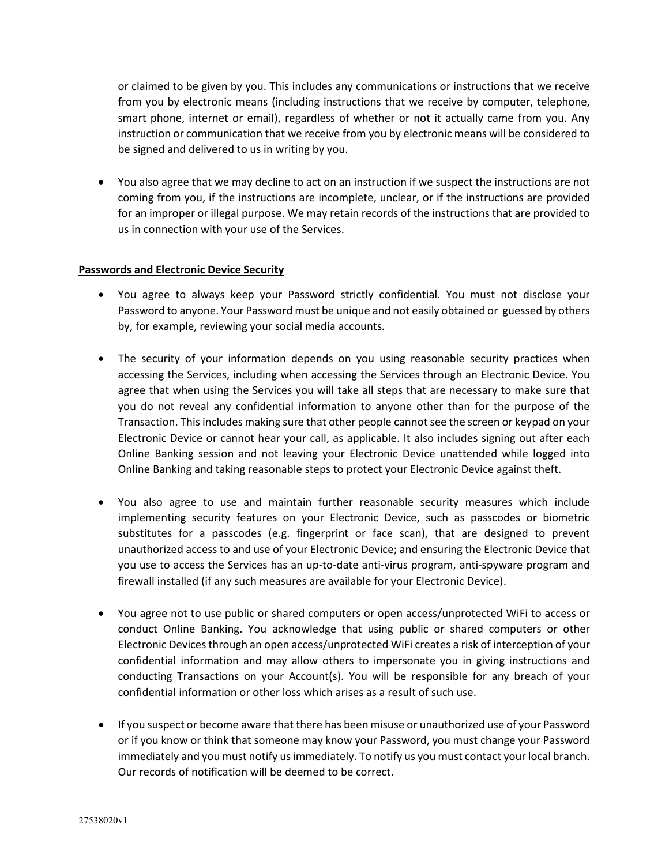or claimed to be given by you. This includes any communications or instructions that we receive from you by electronic means (including instructions that we receive by computer, telephone, smart phone, internet or email), regardless of whether or not it actually came from you. Any instruction or communication that we receive from you by electronic means will be considered to be signed and delivered to us in writing by you.

• You also agree that we may decline to act on an instruction if we suspect the instructions are not coming from you, if the instructions are incomplete, unclear, or if the instructions are provided for an improper or illegal purpose. We may retain records of the instructions that are provided to us in connection with your use of the Services.

### **Passwords and Electronic Device Security**

- You agree to always keep your Password strictly confidential. You must not disclose your Password to anyone. Your Password must be unique and not easily obtained or guessed by others by, for example, reviewing your social media accounts.
- The security of your information depends on you using reasonable security practices when accessing the Services, including when accessing the Services through an Electronic Device. You agree that when using the Services you will take all steps that are necessary to make sure that you do not reveal any confidential information to anyone other than for the purpose of the Transaction. This includes making sure that other people cannot see the screen or keypad on your Electronic Device or cannot hear your call, as applicable. It also includes signing out after each Online Banking session and not leaving your Electronic Device unattended while logged into Online Banking and taking reasonable steps to protect your Electronic Device against theft.
- You also agree to use and maintain further reasonable security measures which include implementing security features on your Electronic Device, such as passcodes or biometric substitutes for a passcodes (e.g. fingerprint or face scan), that are designed to prevent unauthorized access to and use of your Electronic Device; and ensuring the Electronic Device that you use to access the Services has an up-to-date anti-virus program, anti-spyware program and firewall installed (if any such measures are available for your Electronic Device).
- You agree not to use public or shared computers or open access/unprotected WiFi to access or conduct Online Banking. You acknowledge that using public or shared computers or other Electronic Devices through an open access/unprotected WiFi creates a risk of interception of your confidential information and may allow others to impersonate you in giving instructions and conducting Transactions on your Account(s). You will be responsible for any breach of your confidential information or other loss which arises as a result of such use.
- If you suspect or become aware that there has been misuse or unauthorized use of your Password or if you know or think that someone may know your Password, you must change your Password immediately and you must notify us immediately. To notify us you must contact your local branch. Our records of notification will be deemed to be correct.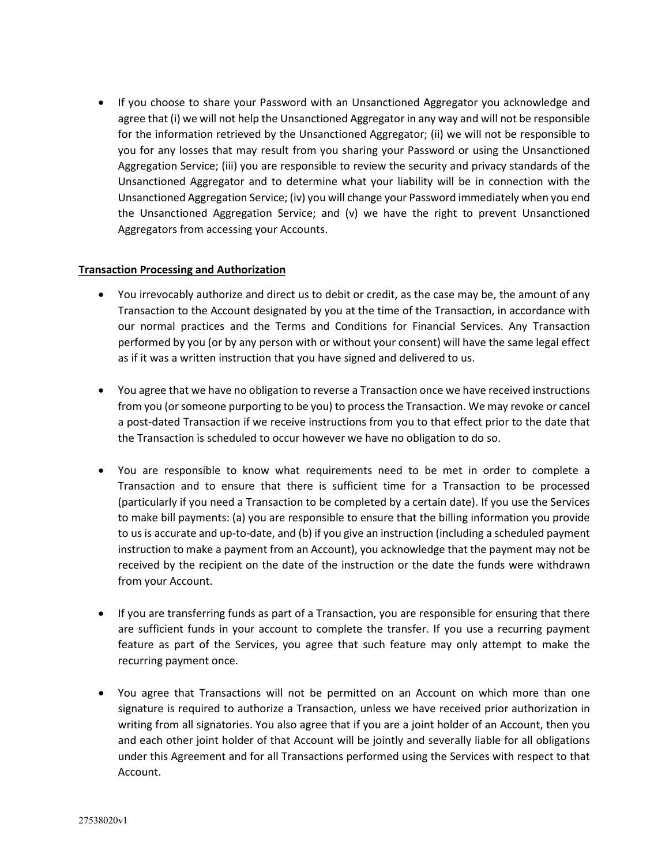• If you choose to share your Password with an Unsanctioned Aggregator you acknowledge and agree that (i) we will not help the Unsanctioned Aggregator in any way and will not be responsible for the information retrieved by the Unsanctioned Aggregator; (ii) we will not be responsible to you for any losses that may result from you sharing your Password or using the Unsanctioned Aggregation Service; (iii) you are responsible to review the security and privacy standards of the Unsanctioned Aggregator and to determine what your liability will be in connection with the Unsanctioned Aggregation Service; (iv) you will change your Password immediately when you end the Unsanctioned Aggregation Service; and (v) we have the right to prevent Unsanctioned Aggregators from accessing your Accounts.

# **Transaction Processing and Authorization**

- You irrevocably authorize and direct us to debit or credit, as the case may be, the amount of any Transaction to the Account designated by you at the time of the Transaction, in accordance with our normal practices and the Terms and Conditions for Financial Services. Any Transaction performed by you (or by any person with or without your consent) will have the same legal effect as if it was a written instruction that you have signed and delivered to us.
- You agree that we have no obligation to reverse a Transaction once we have received instructions from you (or someone purporting to be you) to process the Transaction. We may revoke or cancel a post-dated Transaction if we receive instructions from you to that effect prior to the date that the Transaction is scheduled to occur however we have no obligation to do so.
- You are responsible to know what requirements need to be met in order to complete a Transaction and to ensure that there is sufficient time for a Transaction to be processed (particularly if you need a Transaction to be completed by a certain date). If you use the Services to make bill payments: (a) you are responsible to ensure that the billing information you provide to us is accurate and up-to-date, and (b) if you give an instruction (including a scheduled payment instruction to make a payment from an Account), you acknowledge that the payment may not be received by the recipient on the date of the instruction or the date the funds were withdrawn from your Account.
- If you are transferring funds as part of a Transaction, you are responsible for ensuring that there are sufficient funds in your account to complete the transfer. If you use a recurring payment feature as part of the Services, you agree that such feature may only attempt to make the recurring payment once.
- You agree that Transactions will not be permitted on an Account on which more than one signature is required to authorize a Transaction, unless we have received prior authorization in writing from all signatories. You also agree that if you are a joint holder of an Account, then you and each other joint holder of that Account will be jointly and severally liable for all obligations under this Agreement and for all Transactions performed using the Services with respect to that Account.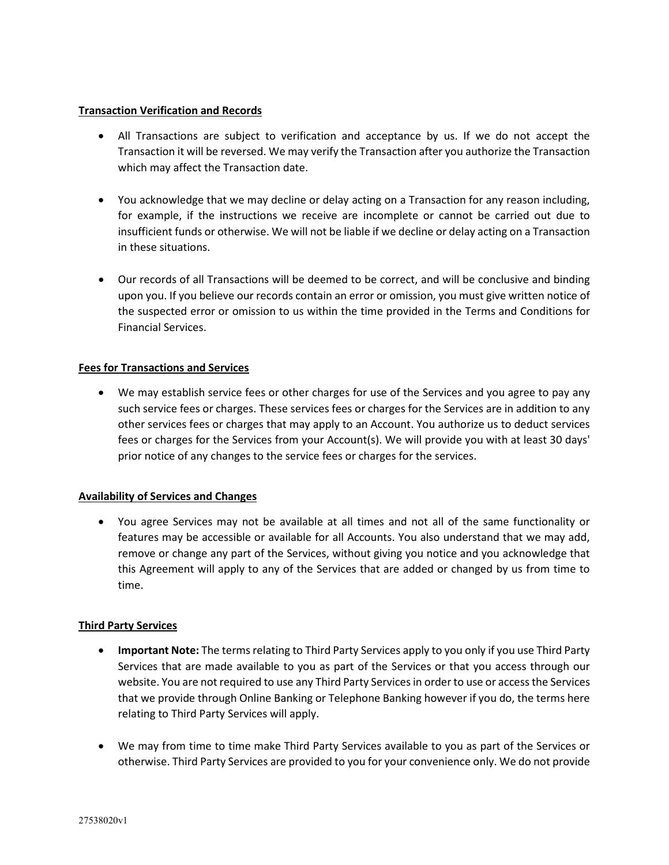### **Transaction Verification and Records**

- All Transactions are subject to verification and acceptance by us. If we do not accept the Transaction it will be reversed. We may verify the Transaction after you authorize the Transaction which may affect the Transaction date.
- You acknowledge that we may decline or delay acting on a Transaction for any reason including, for example, if the instructions we receive are incomplete or cannot be carried out due to insufficient funds or otherwise. We will not be liable if we decline or delay acting on a Transaction in these situations.
- Our records of all Transactions will be deemed to be correct, and will be conclusive and binding upon you. If you believe our records contain an error or omission, you must give written notice of the suspected error or omission to us within the time provided in the Terms and Conditions for Financial Services.

# **Fees for Transactions and Services**

• We may establish service fees or other charges for use of the Services and you agree to pay any such service fees or charges. These services fees or charges for the Services are in addition to any other services fees or charges that may apply to an Account. You authorize us to deduct services fees or charges for the Services from your Account(s). We will provide you with at least 30 days' prior notice of any changes to the service fees or charges for the services.

# **Availability of Services and Changes**

• You agree Services may not be available at all times and not all of the same functionality or features may be accessible or available for all Accounts. You also understand that we may add, remove or change any part of the Services, without giving you notice and you acknowledge that this Agreement will apply to any of the Services that are added or changed by us from time to time.

# **Third Party Services**

- **Important Note:** The terms relating to Third Party Services apply to you only if you use Third Party Services that are made available to you as part of the Services or that you access through our website. You are not required to use any Third Party Services in order to use or access the Services that we provide through Online Banking or Telephone Banking however if you do, the terms here relating to Third Party Services will apply.
- We may from time to time make Third Party Services available to you as part of the Services or otherwise. Third Party Services are provided to you for your convenience only. We do not provide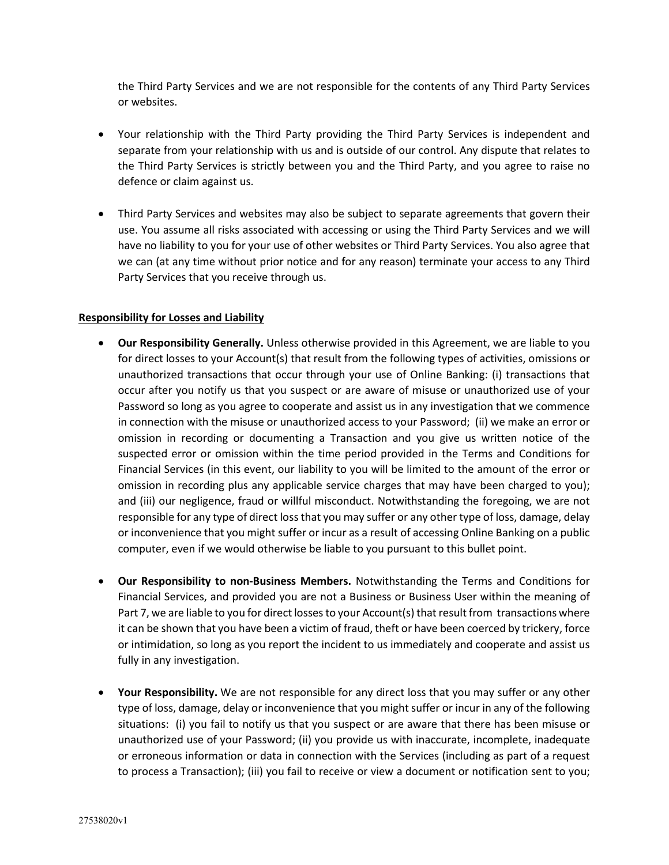the Third Party Services and we are not responsible for the contents of any Third Party Services or websites.

- Your relationship with the Third Party providing the Third Party Services is independent and separate from your relationship with us and is outside of our control. Any dispute that relates to the Third Party Services is strictly between you and the Third Party, and you agree to raise no defence or claim against us.
- Third Party Services and websites may also be subject to separate agreements that govern their use. You assume all risks associated with accessing or using the Third Party Services and we will have no liability to you for your use of other websites or Third Party Services. You also agree that we can (at any time without prior notice and for any reason) terminate your access to any Third Party Services that you receive through us.

# **Responsibility for Losses and Liability**

- **Our Responsibility Generally.** Unless otherwise provided in this Agreement, we are liable to you for direct losses to your Account(s) that result from the following types of activities, omissions or unauthorized transactions that occur through your use of Online Banking: (i) transactions that occur after you notify us that you suspect or are aware of misuse or unauthorized use of your Password so long as you agree to cooperate and assist us in any investigation that we commence in connection with the misuse or unauthorized access to your Password; (ii) we make an error or omission in recording or documenting a Transaction and you give us written notice of the suspected error or omission within the time period provided in the Terms and Conditions for Financial Services (in this event, our liability to you will be limited to the amount of the error or omission in recording plus any applicable service charges that may have been charged to you); and (iii) our negligence, fraud or willful misconduct. Notwithstanding the foregoing, we are not responsible for any type of direct loss that you may suffer or any other type of loss, damage, delay or inconvenience that you might suffer or incur as a result of accessing Online Banking on a public computer, even if we would otherwise be liable to you pursuant to this bullet point.
- **Our Responsibility to non-Business Members.** Notwithstanding the Terms and Conditions for Financial Services, and provided you are not a Business or Business User within the meaning of Part 7, we are liable to you for direct losses to your Account(s) that result from transactions where it can be shown that you have been a victim of fraud, theft or have been coerced by trickery, force or intimidation, so long as you report the incident to us immediately and cooperate and assist us fully in any investigation.
- **Your Responsibility.** We are not responsible for any direct loss that you may suffer or any other type of loss, damage, delay or inconvenience that you might suffer or incur in any of the following situations: (i) you fail to notify us that you suspect or are aware that there has been misuse or unauthorized use of your Password; (ii) you provide us with inaccurate, incomplete, inadequate or erroneous information or data in connection with the Services (including as part of a request to process a Transaction); (iii) you fail to receive or view a document or notification sent to you;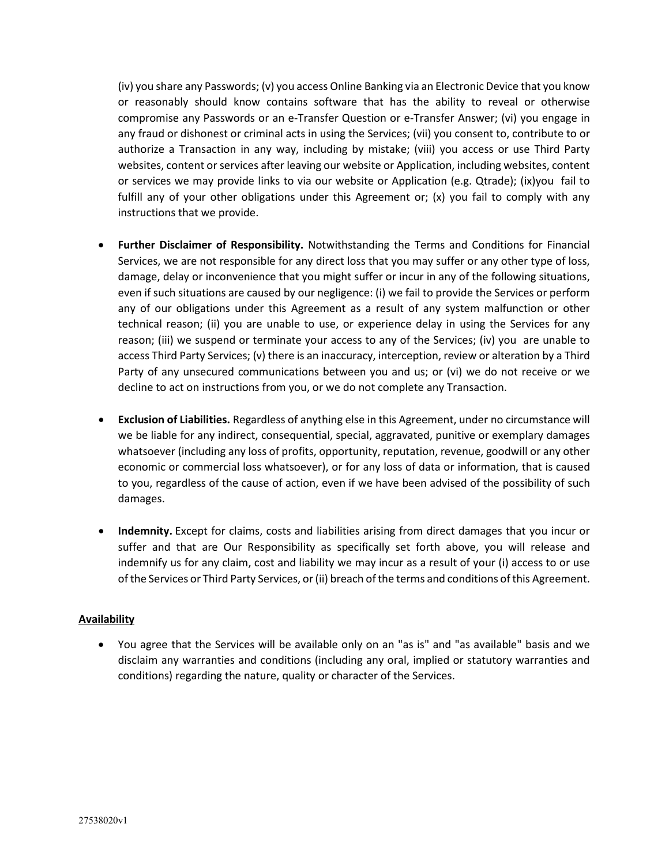(iv) you share any Passwords; (v) you access Online Banking via an Electronic Device that you know or reasonably should know contains software that has the ability to reveal or otherwise compromise any Passwords or an e-Transfer Question or e-Transfer Answer; (vi) you engage in any fraud or dishonest or criminal acts in using the Services; (vii) you consent to, contribute to or authorize a Transaction in any way, including by mistake; (viii) you access or use Third Party websites, content or services after leaving our website or Application, including websites, content or services we may provide links to via our website or Application (e.g. Qtrade); (ix)you fail to fulfill any of your other obligations under this Agreement or; (x) you fail to comply with any instructions that we provide.

- **Further Disclaimer of Responsibility.** Notwithstanding the Terms and Conditions for Financial Services, we are not responsible for any direct loss that you may suffer or any other type of loss, damage, delay or inconvenience that you might suffer or incur in any of the following situations, even if such situations are caused by our negligence: (i) we fail to provide the Services or perform any of our obligations under this Agreement as a result of any system malfunction or other technical reason; (ii) you are unable to use, or experience delay in using the Services for any reason; (iii) we suspend or terminate your access to any of the Services; (iv) you are unable to access Third Party Services; (v) there is an inaccuracy, interception, review or alteration by a Third Party of any unsecured communications between you and us; or (vi) we do not receive or we decline to act on instructions from you, or we do not complete any Transaction.
- **Exclusion of Liabilities.** Regardless of anything else in this Agreement, under no circumstance will we be liable for any indirect, consequential, special, aggravated, punitive or exemplary damages whatsoever (including any loss of profits, opportunity, reputation, revenue, goodwill or any other economic or commercial loss whatsoever), or for any loss of data or information, that is caused to you, regardless of the cause of action, even if we have been advised of the possibility of such damages.
- **Indemnity.** Except for claims, costs and liabilities arising from direct damages that you incur or suffer and that are Our Responsibility as specifically set forth above, you will release and indemnify us for any claim, cost and liability we may incur as a result of your (i) access to or use of the Services or Third Party Services, or (ii) breach of the terms and conditions of this Agreement.

# **Availability**

• You agree that the Services will be available only on an "as is" and "as available" basis and we disclaim any warranties and conditions (including any oral, implied or statutory warranties and conditions) regarding the nature, quality or character of the Services.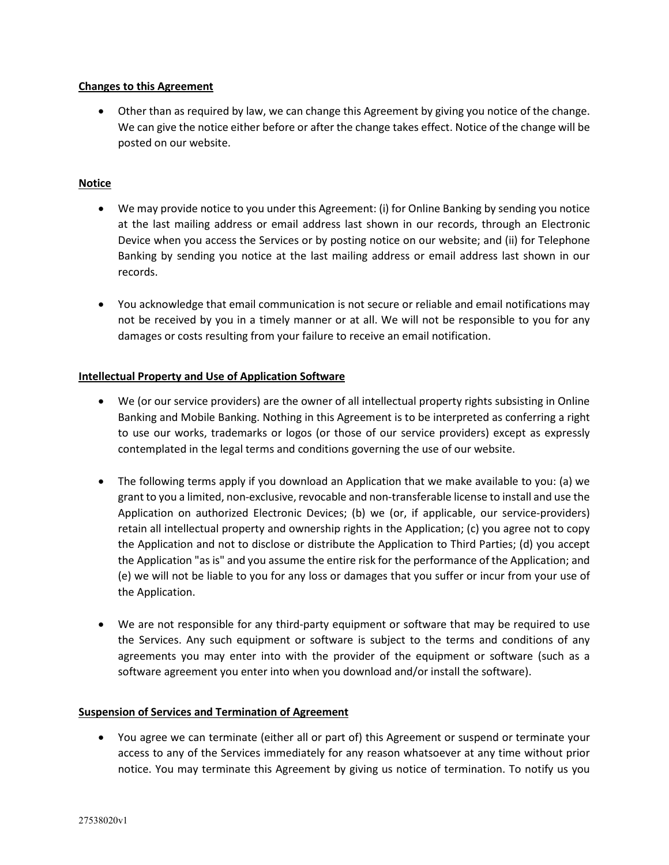# **Changes to this Agreement**

• Other than as required by law, we can change this Agreement by giving you notice of the change. We can give the notice either before or after the change takes effect. Notice of the change will be posted on our website.

### **Notice**

- We may provide notice to you under this Agreement: (i) for Online Banking by sending you notice at the last mailing address or email address last shown in our records, through an Electronic Device when you access the Services or by posting notice on our website; and (ii) for Telephone Banking by sending you notice at the last mailing address or email address last shown in our records.
- You acknowledge that email communication is not secure or reliable and email notifications may not be received by you in a timely manner or at all. We will not be responsible to you for any damages or costs resulting from your failure to receive an email notification.

### **Intellectual Property and Use of Application Software**

- We (or our service providers) are the owner of all intellectual property rights subsisting in Online Banking and Mobile Banking. Nothing in this Agreement is to be interpreted as conferring a right to use our works, trademarks or logos (or those of our service providers) except as expressly contemplated in the legal terms and conditions governing the use of our website.
- The following terms apply if you download an Application that we make available to you: (a) we grant to you a limited, non-exclusive, revocable and non-transferable license to install and use the Application on authorized Electronic Devices; (b) we (or, if applicable, our service-providers) retain all intellectual property and ownership rights in the Application; (c) you agree not to copy the Application and not to disclose or distribute the Application to Third Parties; (d) you accept the Application "as is" and you assume the entire risk for the performance of the Application; and (e) we will not be liable to you for any loss or damages that you suffer or incur from your use of the Application.
- We are not responsible for any third-party equipment or software that may be required to use the Services. Any such equipment or software is subject to the terms and conditions of any agreements you may enter into with the provider of the equipment or software (such as a software agreement you enter into when you download and/or install the software).

#### **Suspension of Services and Termination of Agreement**

• You agree we can terminate (either all or part of) this Agreement or suspend or terminate your access to any of the Services immediately for any reason whatsoever at any time without prior notice. You may terminate this Agreement by giving us notice of termination. To notify us you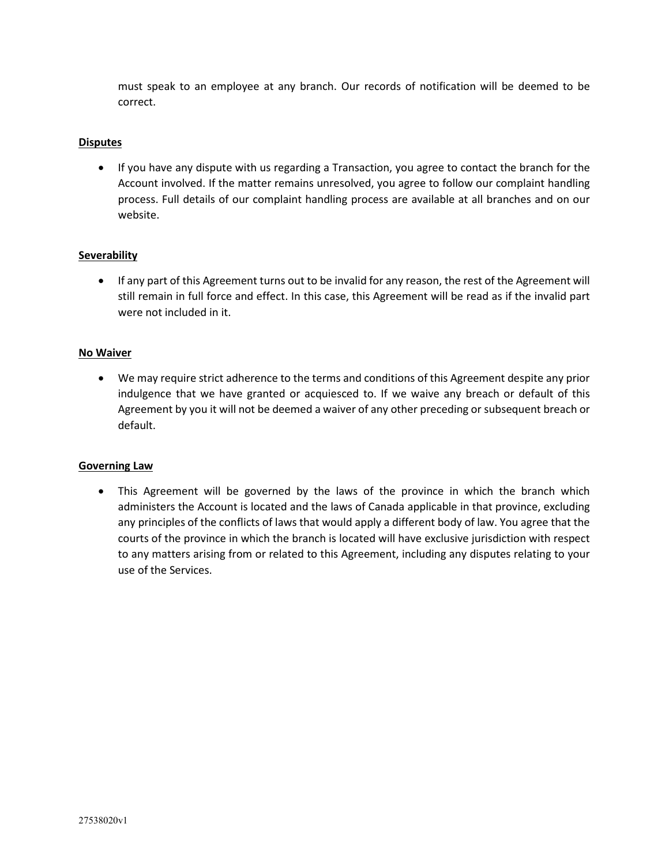must speak to an employee at any branch. Our records of notification will be deemed to be correct.

# **Disputes**

• If you have any dispute with us regarding a Transaction, you agree to contact the branch for the Account involved. If the matter remains unresolved, you agree to follow our complaint handling process. Full details of our complaint handling process are available at all branches and on our website.

# **Severability**

• If any part of this Agreement turns out to be invalid for any reason, the rest of the Agreement will still remain in full force and effect. In this case, this Agreement will be read as if the invalid part were not included in it.

# **No Waiver**

• We may require strict adherence to the terms and conditions of this Agreement despite any prior indulgence that we have granted or acquiesced to. If we waive any breach or default of this Agreement by you it will not be deemed a waiver of any other preceding or subsequent breach or default.

# **Governing Law**

• This Agreement will be governed by the laws of the province in which the branch which administers the Account is located and the laws of Canada applicable in that province, excluding any principles of the conflicts of laws that would apply a different body of law. You agree that the courts of the province in which the branch is located will have exclusive jurisdiction with respect to any matters arising from or related to this Agreement, including any disputes relating to your use of the Services.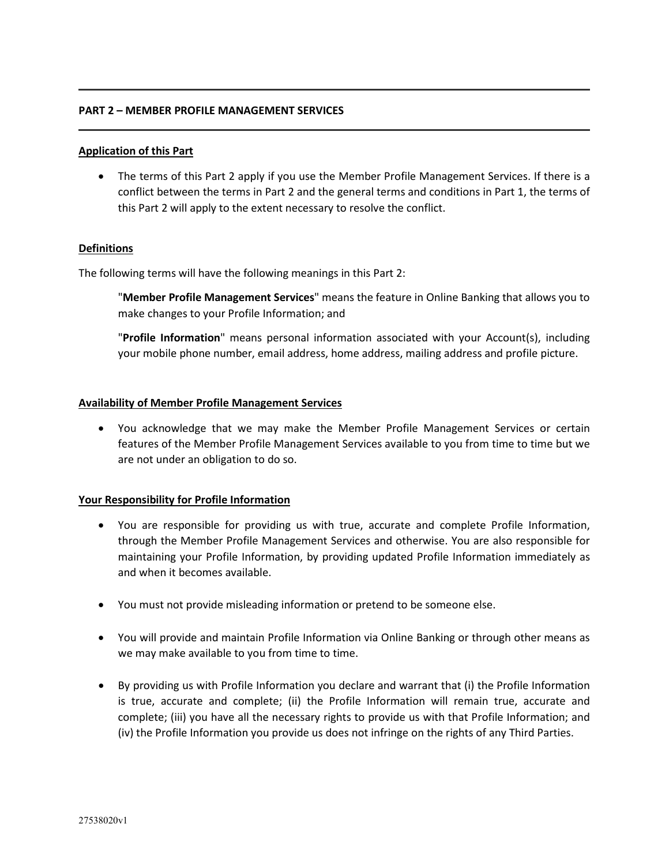### **PART 2 – MEMBER PROFILE MANAGEMENT SERVICES**

### **Application of this Part**

• The terms of this Part 2 apply if you use the Member Profile Management Services. If there is a conflict between the terms in Part 2 and the general terms and conditions in Part 1, the terms of this Part 2 will apply to the extent necessary to resolve the conflict.

### **Definitions**

The following terms will have the following meanings in this Part 2:

"**Member Profile Management Services**" means the feature in Online Banking that allows you to make changes to your Profile Information; and

"**Profile Information**" means personal information associated with your Account(s), including your mobile phone number, email address, home address, mailing address and profile picture.

### **Availability of Member Profile Management Services**

• You acknowledge that we may make the Member Profile Management Services or certain features of the Member Profile Management Services available to you from time to time but we are not under an obligation to do so.

#### **Your Responsibility for Profile Information**

- You are responsible for providing us with true, accurate and complete Profile Information, through the Member Profile Management Services and otherwise. You are also responsible for maintaining your Profile Information, by providing updated Profile Information immediately as and when it becomes available.
- You must not provide misleading information or pretend to be someone else.
- You will provide and maintain Profile Information via Online Banking or through other means as we may make available to you from time to time.
- By providing us with Profile Information you declare and warrant that (i) the Profile Information is true, accurate and complete; (ii) the Profile Information will remain true, accurate and complete; (iii) you have all the necessary rights to provide us with that Profile Information; and (iv) the Profile Information you provide us does not infringe on the rights of any Third Parties.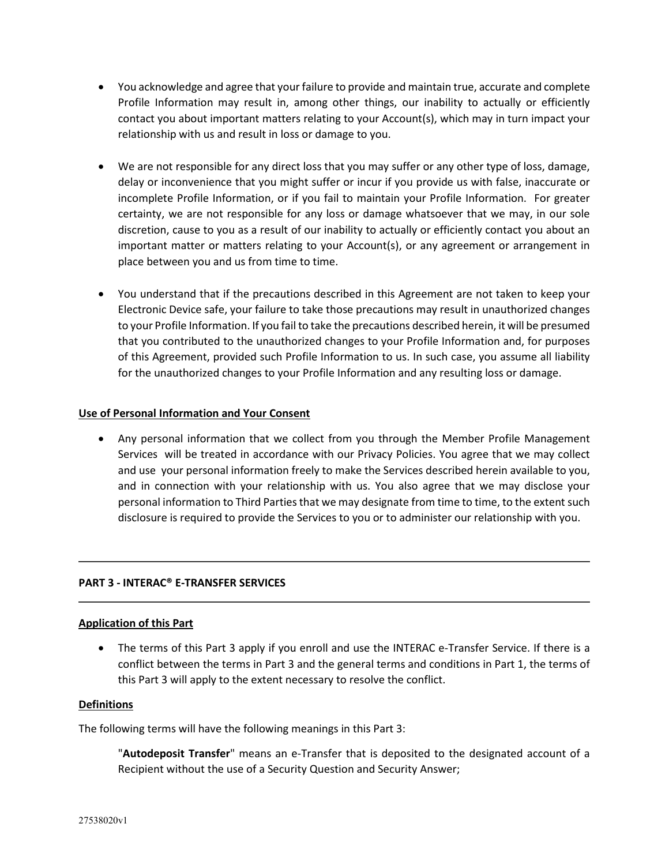- You acknowledge and agree that your failure to provide and maintain true, accurate and complete Profile Information may result in, among other things, our inability to actually or efficiently contact you about important matters relating to your Account(s), which may in turn impact your relationship with us and result in loss or damage to you.
- We are not responsible for any direct loss that you may suffer or any other type of loss, damage, delay or inconvenience that you might suffer or incur if you provide us with false, inaccurate or incomplete Profile Information, or if you fail to maintain your Profile Information. For greater certainty, we are not responsible for any loss or damage whatsoever that we may, in our sole discretion, cause to you as a result of our inability to actually or efficiently contact you about an important matter or matters relating to your Account(s), or any agreement or arrangement in place between you and us from time to time.
- You understand that if the precautions described in this Agreement are not taken to keep your Electronic Device safe, your failure to take those precautions may result in unauthorized changes to your Profile Information. If you fail to take the precautions described herein, it will be presumed that you contributed to the unauthorized changes to your Profile Information and, for purposes of this Agreement, provided such Profile Information to us. In such case, you assume all liability for the unauthorized changes to your Profile Information and any resulting loss or damage.

# **Use of Personal Information and Your Consent**

• Any personal information that we collect from you through the Member Profile Management Services will be treated in accordance with our Privacy Policies. You agree that we may collect and use your personal information freely to make the Services described herein available to you, and in connection with your relationship with us. You also agree that we may disclose your personal information to Third Parties that we may designate from time to time, to the extent such disclosure is required to provide the Services to you or to administer our relationship with you.

# **PART 3 - INTERAC® E-TRANSFER SERVICES**

# **Application of this Part**

• The terms of this Part 3 apply if you enroll and use the INTERAC e-Transfer Service. If there is a conflict between the terms in Part 3 and the general terms and conditions in Part 1, the terms of this Part 3 will apply to the extent necessary to resolve the conflict.

# **Definitions**

The following terms will have the following meanings in this Part 3:

"**Autodeposit Transfer**" means an e-Transfer that is deposited to the designated account of a Recipient without the use of a Security Question and Security Answer;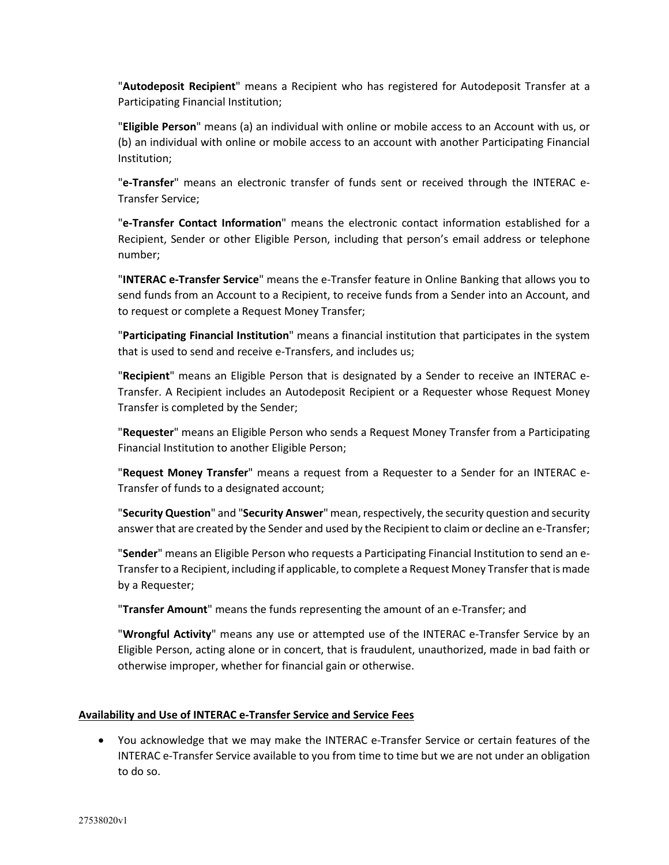"**Autodeposit Recipient**" means a Recipient who has registered for Autodeposit Transfer at a Participating Financial Institution;

"**Eligible Person**" means (a) an individual with online or mobile access to an Account with us, or (b) an individual with online or mobile access to an account with another Participating Financial Institution;

"**e-Transfer**" means an electronic transfer of funds sent or received through the INTERAC e-Transfer Service;

"**e-Transfer Contact Information**" means the electronic contact information established for a Recipient, Sender or other Eligible Person, including that person's email address or telephone number;

"**INTERAC e-Transfer Service**" means the e-Transfer feature in Online Banking that allows you to send funds from an Account to a Recipient, to receive funds from a Sender into an Account, and to request or complete a Request Money Transfer;

"**Participating Financial Institution**" means a financial institution that participates in the system that is used to send and receive e-Transfers, and includes us;

"**Recipient**" means an Eligible Person that is designated by a Sender to receive an INTERAC e-Transfer. A Recipient includes an Autodeposit Recipient or a Requester whose Request Money Transfer is completed by the Sender;

"**Requester**" means an Eligible Person who sends a Request Money Transfer from a Participating Financial Institution to another Eligible Person;

"**Request Money Transfer**" means a request from a Requester to a Sender for an INTERAC e-Transfer of funds to a designated account;

"**Security Question**" and "**Security Answer**" mean, respectively, the security question and security answer that are created by the Sender and used by the Recipient to claim or decline an e-Transfer;

"**Sender**" means an Eligible Person who requests a Participating Financial Institution to send an e-Transfer to a Recipient, including if applicable, to complete a Request Money Transfer that is made by a Requester;

"**Transfer Amount**" means the funds representing the amount of an e-Transfer; and

"**Wrongful Activity**" means any use or attempted use of the INTERAC e-Transfer Service by an Eligible Person, acting alone or in concert, that is fraudulent, unauthorized, made in bad faith or otherwise improper, whether for financial gain or otherwise.

# **Availability and Use of INTERAC e-Transfer Service and Service Fees**

• You acknowledge that we may make the INTERAC e-Transfer Service or certain features of the INTERAC e-Transfer Service available to you from time to time but we are not under an obligation to do so.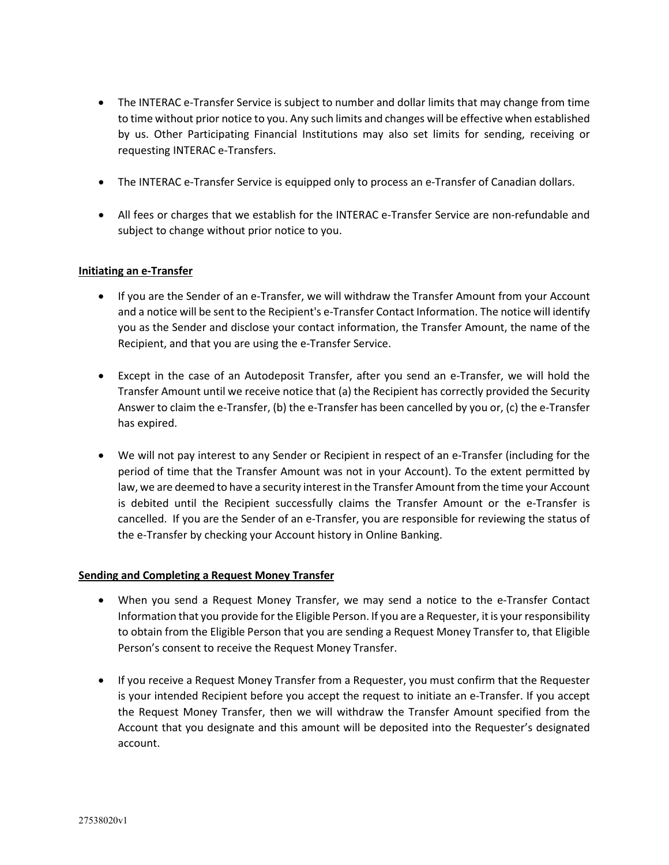- The INTERAC e-Transfer Service is subject to number and dollar limits that may change from time to time without prior notice to you. Any such limits and changes will be effective when established by us. Other Participating Financial Institutions may also set limits for sending, receiving or requesting INTERAC e-Transfers.
- The INTERAC e-Transfer Service is equipped only to process an e-Transfer of Canadian dollars.
- All fees or charges that we establish for the INTERAC e-Transfer Service are non-refundable and subject to change without prior notice to you.

### **Initiating an e-Transfer**

- If you are the Sender of an e-Transfer, we will withdraw the Transfer Amount from your Account and a notice will be sent to the Recipient's e-Transfer Contact Information. The notice will identify you as the Sender and disclose your contact information, the Transfer Amount, the name of the Recipient, and that you are using the e-Transfer Service.
- Except in the case of an Autodeposit Transfer, after you send an e-Transfer, we will hold the Transfer Amount until we receive notice that (a) the Recipient has correctly provided the Security Answer to claim the e-Transfer, (b) the e-Transfer has been cancelled by you or, (c) the e-Transfer has expired.
- We will not pay interest to any Sender or Recipient in respect of an e-Transfer (including for the period of time that the Transfer Amount was not in your Account). To the extent permitted by law, we are deemed to have a security interest in the Transfer Amount from the time your Account is debited until the Recipient successfully claims the Transfer Amount or the e-Transfer is cancelled. If you are the Sender of an e-Transfer, you are responsible for reviewing the status of the e-Transfer by checking your Account history in Online Banking.

#### **Sending and Completing a Request Money Transfer**

- When you send a Request Money Transfer, we may send a notice to the e-Transfer Contact Information that you provide for the Eligible Person. If you are a Requester, it is your responsibility to obtain from the Eligible Person that you are sending a Request Money Transfer to, that Eligible Person's consent to receive the Request Money Transfer.
- If you receive a Request Money Transfer from a Requester, you must confirm that the Requester is your intended Recipient before you accept the request to initiate an e-Transfer. If you accept the Request Money Transfer, then we will withdraw the Transfer Amount specified from the Account that you designate and this amount will be deposited into the Requester's designated account.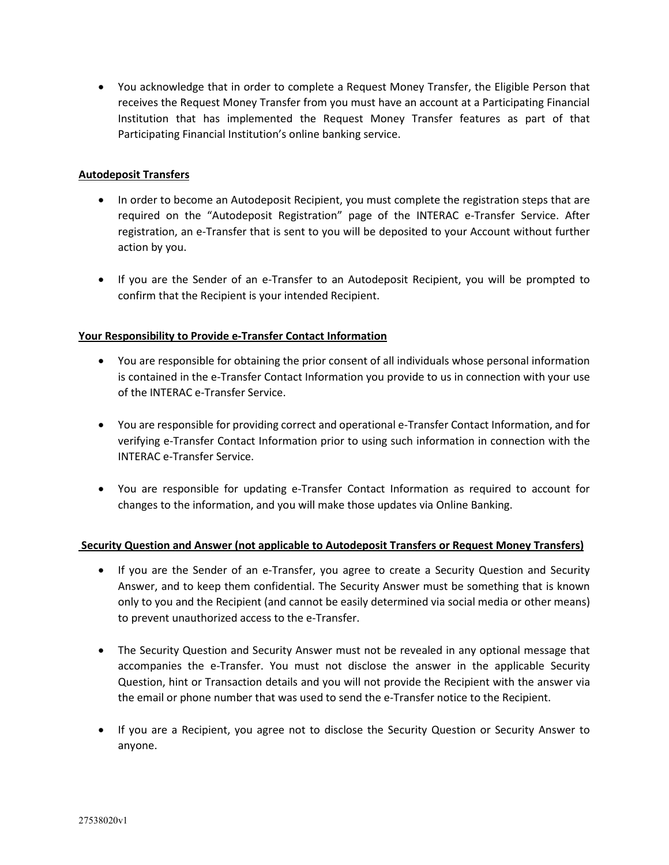• You acknowledge that in order to complete a Request Money Transfer, the Eligible Person that receives the Request Money Transfer from you must have an account at a Participating Financial Institution that has implemented the Request Money Transfer features as part of that Participating Financial Institution's online banking service.

# **Autodeposit Transfers**

- In order to become an Autodeposit Recipient, you must complete the registration steps that are required on the "Autodeposit Registration" page of the INTERAC e-Transfer Service. After registration, an e-Transfer that is sent to you will be deposited to your Account without further action by you.
- If you are the Sender of an e-Transfer to an Autodeposit Recipient, you will be prompted to confirm that the Recipient is your intended Recipient.

# **Your Responsibility to Provide e-Transfer Contact Information**

- You are responsible for obtaining the prior consent of all individuals whose personal information is contained in the e-Transfer Contact Information you provide to us in connection with your use of the INTERAC e-Transfer Service.
- You are responsible for providing correct and operational e-Transfer Contact Information, and for verifying e-Transfer Contact Information prior to using such information in connection with the INTERAC e-Transfer Service.
- You are responsible for updating e-Transfer Contact Information as required to account for changes to the information, and you will make those updates via Online Banking.

# **Security Question and Answer (not applicable to Autodeposit Transfers or Request Money Transfers)**

- If you are the Sender of an e-Transfer, you agree to create a Security Question and Security Answer, and to keep them confidential. The Security Answer must be something that is known only to you and the Recipient (and cannot be easily determined via social media or other means) to prevent unauthorized access to the e-Transfer.
- The Security Question and Security Answer must not be revealed in any optional message that accompanies the e-Transfer. You must not disclose the answer in the applicable Security Question, hint or Transaction details and you will not provide the Recipient with the answer via the email or phone number that was used to send the e-Transfer notice to the Recipient.
- If you are a Recipient, you agree not to disclose the Security Question or Security Answer to anyone.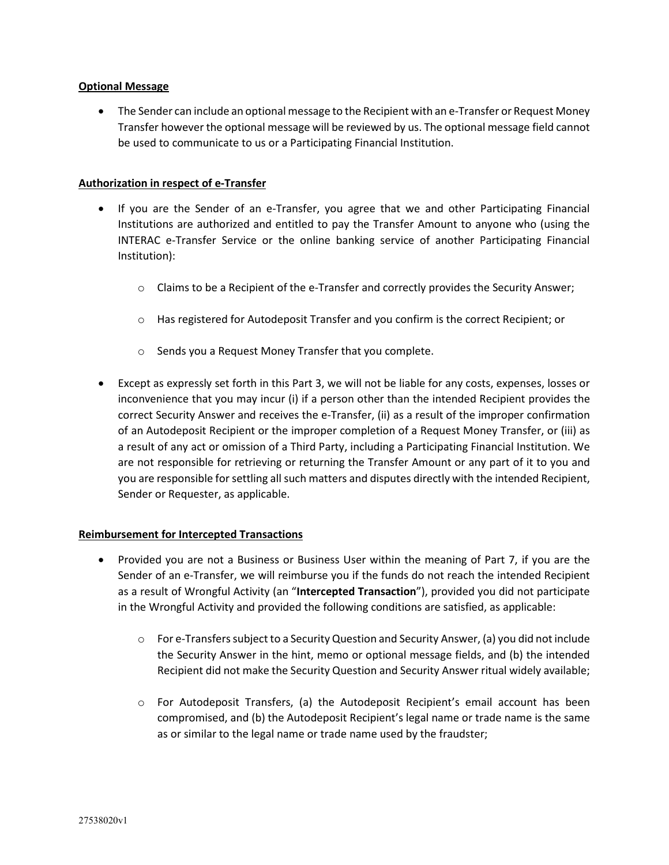### **Optional Message**

• The Sender can include an optional message to the Recipient with an e-Transfer or Request Money Transfer however the optional message will be reviewed by us. The optional message field cannot be used to communicate to us or a Participating Financial Institution.

### **Authorization in respect of e-Transfer**

- If you are the Sender of an e-Transfer, you agree that we and other Participating Financial Institutions are authorized and entitled to pay the Transfer Amount to anyone who (using the INTERAC e-Transfer Service or the online banking service of another Participating Financial Institution):
	- o Claims to be a Recipient of the e-Transfer and correctly provides the Security Answer;
	- o Has registered for Autodeposit Transfer and you confirm is the correct Recipient; or
	- o Sends you a Request Money Transfer that you complete.
- Except as expressly set forth in this Part 3, we will not be liable for any costs, expenses, losses or inconvenience that you may incur (i) if a person other than the intended Recipient provides the correct Security Answer and receives the e-Transfer, (ii) as a result of the improper confirmation of an Autodeposit Recipient or the improper completion of a Request Money Transfer, or (iii) as a result of any act or omission of a Third Party, including a Participating Financial Institution. We are not responsible for retrieving or returning the Transfer Amount or any part of it to you and you are responsible for settling all such matters and disputes directly with the intended Recipient, Sender or Requester, as applicable.

# **Reimbursement for Intercepted Transactions**

- Provided you are not a Business or Business User within the meaning of Part 7, if you are the Sender of an e-Transfer, we will reimburse you if the funds do not reach the intended Recipient as a result of Wrongful Activity (an "**Intercepted Transaction**"), provided you did not participate in the Wrongful Activity and provided the following conditions are satisfied, as applicable:
	- $\circ$  For e-Transfers subject to a Security Question and Security Answer, (a) you did not include the Security Answer in the hint, memo or optional message fields, and (b) the intended Recipient did not make the Security Question and Security Answer ritual widely available;
	- o For Autodeposit Transfers, (a) the Autodeposit Recipient's email account has been compromised, and (b) the Autodeposit Recipient's legal name or trade name is the same as or similar to the legal name or trade name used by the fraudster;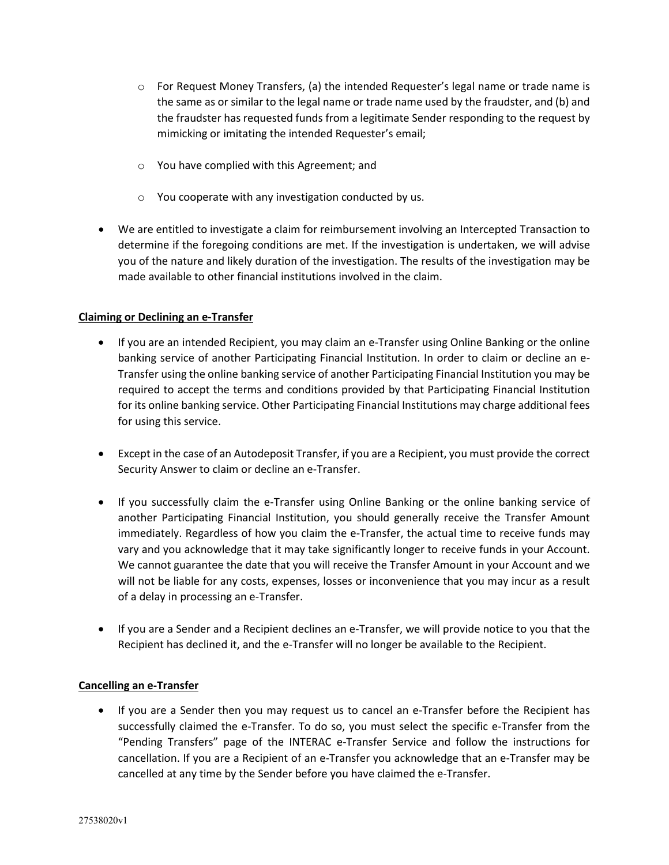- $\circ$  For Request Money Transfers, (a) the intended Requester's legal name or trade name is the same as or similar to the legal name or trade name used by the fraudster, and (b) and the fraudster has requested funds from a legitimate Sender responding to the request by mimicking or imitating the intended Requester's email;
- o You have complied with this Agreement; and
- o You cooperate with any investigation conducted by us.
- We are entitled to investigate a claim for reimbursement involving an Intercepted Transaction to determine if the foregoing conditions are met. If the investigation is undertaken, we will advise you of the nature and likely duration of the investigation. The results of the investigation may be made available to other financial institutions involved in the claim.

# **Claiming or Declining an e-Transfer**

- If you are an intended Recipient, you may claim an e-Transfer using Online Banking or the online banking service of another Participating Financial Institution. In order to claim or decline an e-Transfer using the online banking service of another Participating Financial Institution you may be required to accept the terms and conditions provided by that Participating Financial Institution for its online banking service. Other Participating Financial Institutions may charge additional fees for using this service.
- Except in the case of an Autodeposit Transfer, if you are a Recipient, you must provide the correct Security Answer to claim or decline an e-Transfer.
- If you successfully claim the e-Transfer using Online Banking or the online banking service of another Participating Financial Institution, you should generally receive the Transfer Amount immediately. Regardless of how you claim the e-Transfer, the actual time to receive funds may vary and you acknowledge that it may take significantly longer to receive funds in your Account. We cannot guarantee the date that you will receive the Transfer Amount in your Account and we will not be liable for any costs, expenses, losses or inconvenience that you may incur as a result of a delay in processing an e-Transfer.
- If you are a Sender and a Recipient declines an e-Transfer, we will provide notice to you that the Recipient has declined it, and the e-Transfer will no longer be available to the Recipient.

# **Cancelling an e-Transfer**

• If you are a Sender then you may request us to cancel an e-Transfer before the Recipient has successfully claimed the e-Transfer. To do so, you must select the specific e-Transfer from the "Pending Transfers" page of the INTERAC e-Transfer Service and follow the instructions for cancellation. If you are a Recipient of an e-Transfer you acknowledge that an e-Transfer may be cancelled at any time by the Sender before you have claimed the e-Transfer.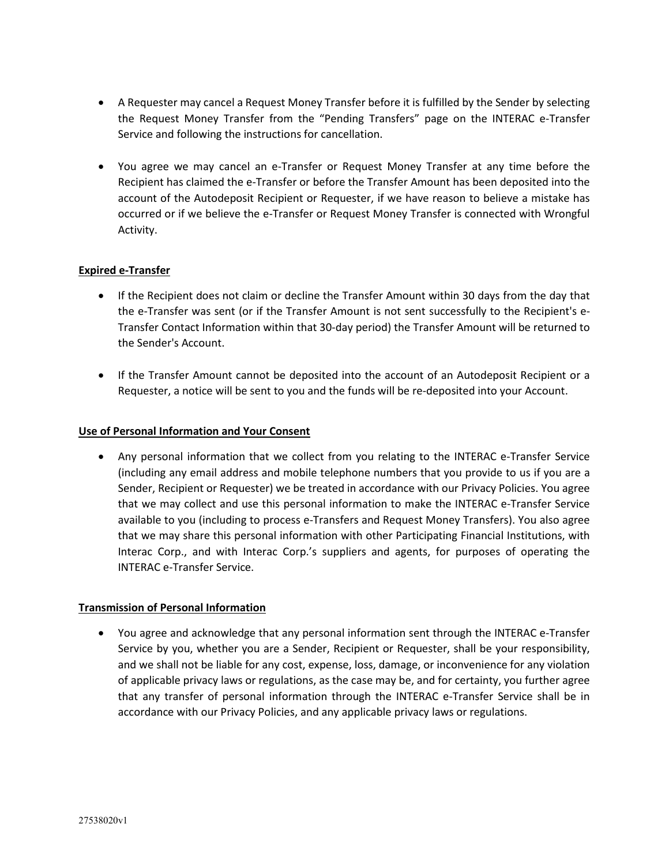- A Requester may cancel a Request Money Transfer before it is fulfilled by the Sender by selecting the Request Money Transfer from the "Pending Transfers" page on the INTERAC e-Transfer Service and following the instructions for cancellation.
- You agree we may cancel an e-Transfer or Request Money Transfer at any time before the Recipient has claimed the e-Transfer or before the Transfer Amount has been deposited into the account of the Autodeposit Recipient or Requester, if we have reason to believe a mistake has occurred or if we believe the e-Transfer or Request Money Transfer is connected with Wrongful Activity.

# **Expired e-Transfer**

- If the Recipient does not claim or decline the Transfer Amount within 30 days from the day that the e-Transfer was sent (or if the Transfer Amount is not sent successfully to the Recipient's e-Transfer Contact Information within that 30-day period) the Transfer Amount will be returned to the Sender's Account.
- If the Transfer Amount cannot be deposited into the account of an Autodeposit Recipient or a Requester, a notice will be sent to you and the funds will be re-deposited into your Account.

# **Use of Personal Information and Your Consent**

• Any personal information that we collect from you relating to the INTERAC e-Transfer Service (including any email address and mobile telephone numbers that you provide to us if you are a Sender, Recipient or Requester) we be treated in accordance with our Privacy Policies. You agree that we may collect and use this personal information to make the INTERAC e-Transfer Service available to you (including to process e-Transfers and Request Money Transfers). You also agree that we may share this personal information with other Participating Financial Institutions, with Interac Corp., and with Interac Corp.'s suppliers and agents, for purposes of operating the INTERAC e-Transfer Service.

#### **Transmission of Personal Information**

• You agree and acknowledge that any personal information sent through the INTERAC e-Transfer Service by you, whether you are a Sender, Recipient or Requester, shall be your responsibility, and we shall not be liable for any cost, expense, loss, damage, or inconvenience for any violation of applicable privacy laws or regulations, as the case may be, and for certainty, you further agree that any transfer of personal information through the INTERAC e-Transfer Service shall be in accordance with our Privacy Policies, and any applicable privacy laws or regulations.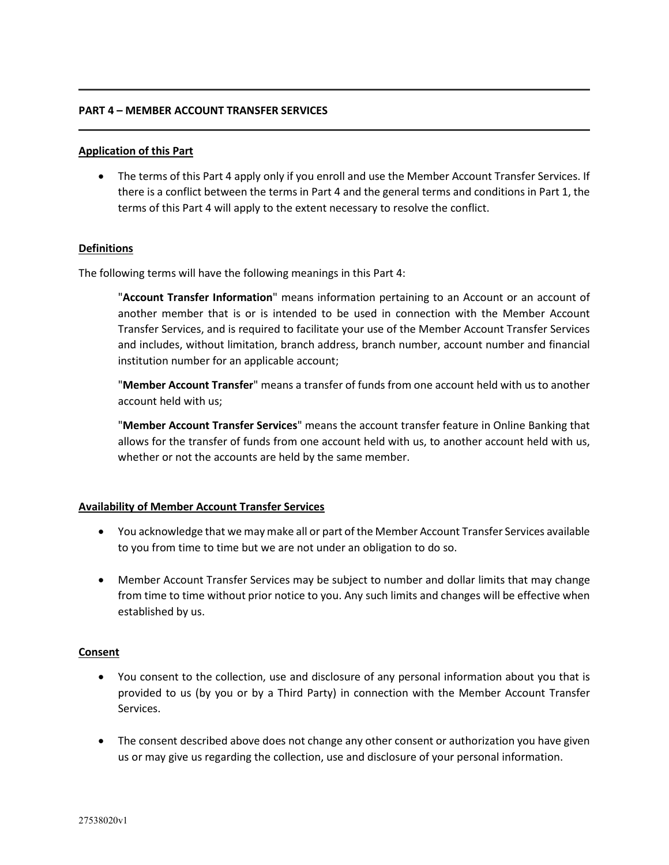### **PART 4 – MEMBER ACCOUNT TRANSFER SERVICES**

#### **Application of this Part**

• The terms of this Part 4 apply only if you enroll and use the Member Account Transfer Services. If there is a conflict between the terms in Part 4 and the general terms and conditions in Part 1, the terms of this Part 4 will apply to the extent necessary to resolve the conflict.

### **Definitions**

The following terms will have the following meanings in this Part 4:

"**Account Transfer Information**" means information pertaining to an Account or an account of another member that is or is intended to be used in connection with the Member Account Transfer Services, and is required to facilitate your use of the Member Account Transfer Services and includes, without limitation, branch address, branch number, account number and financial institution number for an applicable account;

"**Member Account Transfer**" means a transfer of funds from one account held with us to another account held with us;

"**Member Account Transfer Services**" means the account transfer feature in Online Banking that allows for the transfer of funds from one account held with us, to another account held with us, whether or not the accounts are held by the same member.

#### **Availability of Member Account Transfer Services**

- You acknowledge that we may make all or part of the Member Account Transfer Services available to you from time to time but we are not under an obligation to do so.
- Member Account Transfer Services may be subject to number and dollar limits that may change from time to time without prior notice to you. Any such limits and changes will be effective when established by us.

# **Consent**

- You consent to the collection, use and disclosure of any personal information about you that is provided to us (by you or by a Third Party) in connection with the Member Account Transfer Services.
- The consent described above does not change any other consent or authorization you have given us or may give us regarding the collection, use and disclosure of your personal information.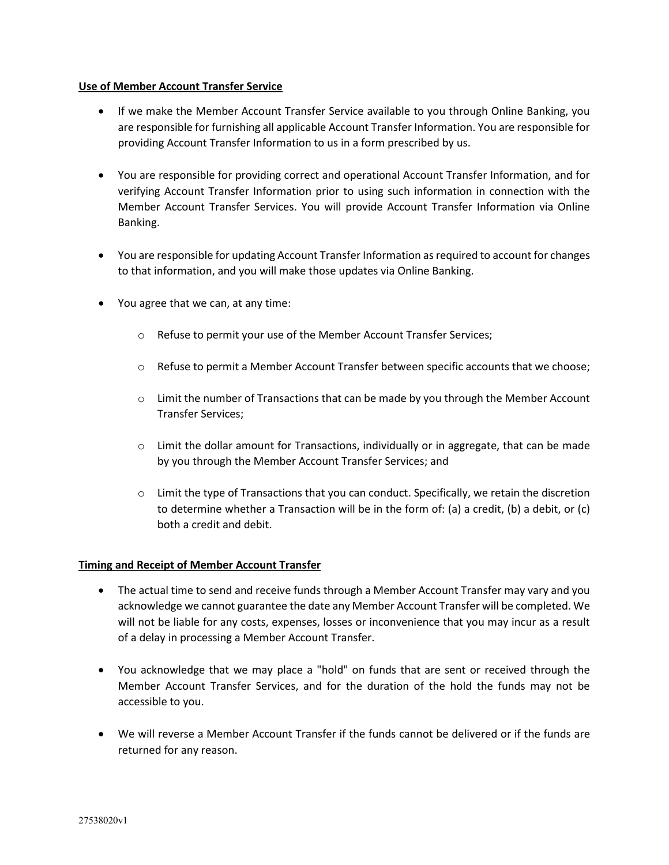### **Use of Member Account Transfer Service**

- If we make the Member Account Transfer Service available to you through Online Banking, you are responsible for furnishing all applicable Account Transfer Information. You are responsible for providing Account Transfer Information to us in a form prescribed by us.
- You are responsible for providing correct and operational Account Transfer Information, and for verifying Account Transfer Information prior to using such information in connection with the Member Account Transfer Services. You will provide Account Transfer Information via Online Banking.
- You are responsible for updating Account Transfer Information as required to account for changes to that information, and you will make those updates via Online Banking.
- You agree that we can, at any time:
	- o Refuse to permit your use of the Member Account Transfer Services;
	- o Refuse to permit a Member Account Transfer between specific accounts that we choose;
	- $\circ$  Limit the number of Transactions that can be made by you through the Member Account Transfer Services;
	- $\circ$  Limit the dollar amount for Transactions, individually or in aggregate, that can be made by you through the Member Account Transfer Services; and
	- $\circ$  Limit the type of Transactions that you can conduct. Specifically, we retain the discretion to determine whether a Transaction will be in the form of: (a) a credit, (b) a debit, or (c) both a credit and debit.

# **Timing and Receipt of Member Account Transfer**

- The actual time to send and receive funds through a Member Account Transfer may vary and you acknowledge we cannot guarantee the date any Member Account Transfer will be completed. We will not be liable for any costs, expenses, losses or inconvenience that you may incur as a result of a delay in processing a Member Account Transfer.
- You acknowledge that we may place a "hold" on funds that are sent or received through the Member Account Transfer Services, and for the duration of the hold the funds may not be accessible to you.
- We will reverse a Member Account Transfer if the funds cannot be delivered or if the funds are returned for any reason.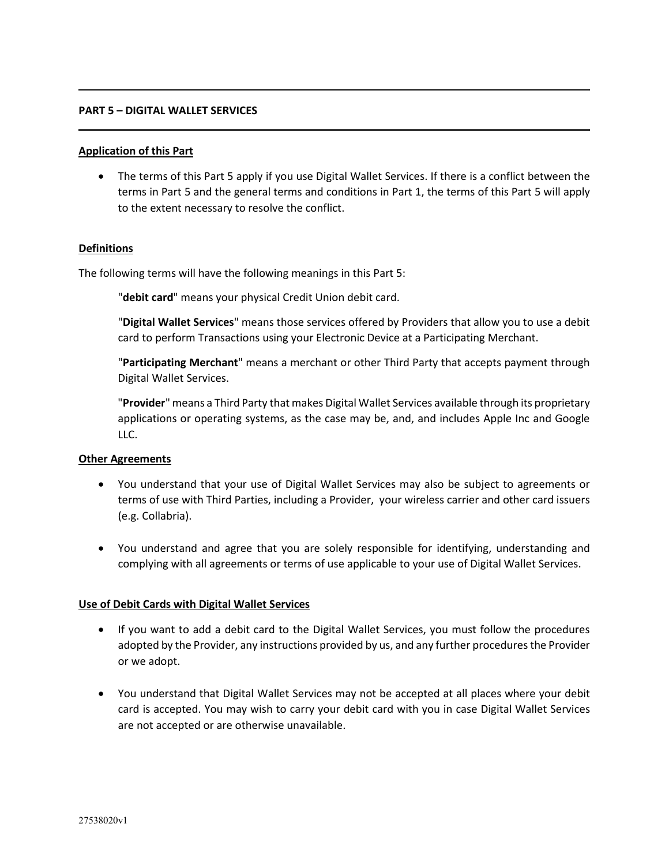#### **PART 5 – DIGITAL WALLET SERVICES**

### **Application of this Part**

• The terms of this Part 5 apply if you use Digital Wallet Services. If there is a conflict between the terms in Part 5 and the general terms and conditions in Part 1, the terms of this Part 5 will apply to the extent necessary to resolve the conflict.

### **Definitions**

The following terms will have the following meanings in this Part 5:

"**debit card**" means your physical Credit Union debit card.

"**Digital Wallet Services**" means those services offered by Providers that allow you to use a debit card to perform Transactions using your Electronic Device at a Participating Merchant.

"**Participating Merchant**" means a merchant or other Third Party that accepts payment through Digital Wallet Services.

"**Provider**" means a Third Party that makes Digital Wallet Services available through its proprietary applications or operating systems, as the case may be, and, and includes Apple Inc and Google LLC.

# **Other Agreements**

- You understand that your use of Digital Wallet Services may also be subject to agreements or terms of use with Third Parties, including a Provider, your wireless carrier and other card issuers (e.g. Collabria).
- You understand and agree that you are solely responsible for identifying, understanding and complying with all agreements or terms of use applicable to your use of Digital Wallet Services.

# **Use of Debit Cards with Digital Wallet Services**

- If you want to add a debit card to the Digital Wallet Services, you must follow the procedures adopted by the Provider, any instructions provided by us, and any further procedures the Provider or we adopt.
- You understand that Digital Wallet Services may not be accepted at all places where your debit card is accepted. You may wish to carry your debit card with you in case Digital Wallet Services are not accepted or are otherwise unavailable.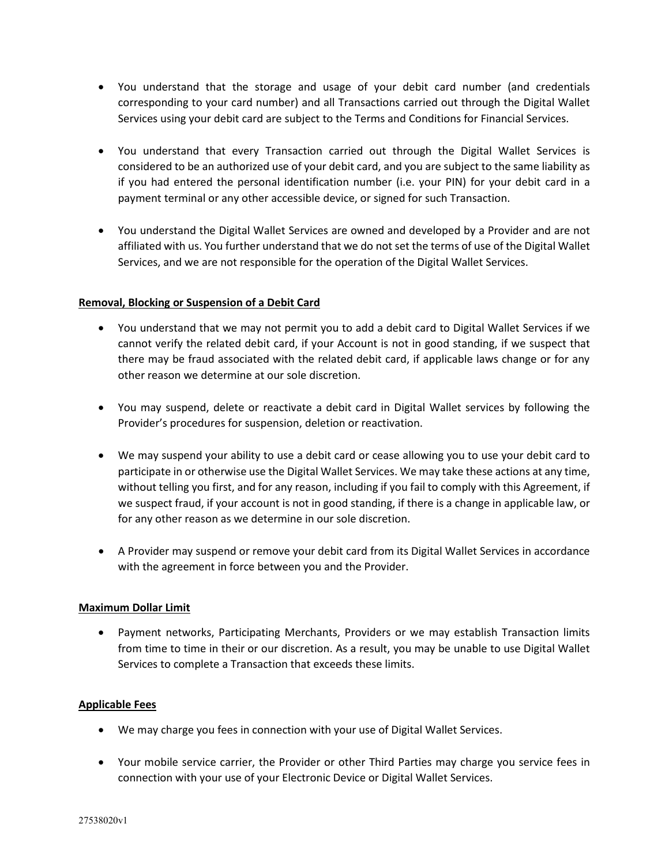- You understand that the storage and usage of your debit card number (and credentials corresponding to your card number) and all Transactions carried out through the Digital Wallet Services using your debit card are subject to the Terms and Conditions for Financial Services.
- You understand that every Transaction carried out through the Digital Wallet Services is considered to be an authorized use of your debit card, and you are subject to the same liability as if you had entered the personal identification number (i.e. your PIN) for your debit card in a payment terminal or any other accessible device, or signed for such Transaction.
- You understand the Digital Wallet Services are owned and developed by a Provider and are not affiliated with us. You further understand that we do not set the terms of use of the Digital Wallet Services, and we are not responsible for the operation of the Digital Wallet Services.

# **Removal, Blocking or Suspension of a Debit Card**

- You understand that we may not permit you to add a debit card to Digital Wallet Services if we cannot verify the related debit card, if your Account is not in good standing, if we suspect that there may be fraud associated with the related debit card, if applicable laws change or for any other reason we determine at our sole discretion.
- You may suspend, delete or reactivate a debit card in Digital Wallet services by following the Provider's procedures for suspension, deletion or reactivation.
- We may suspend your ability to use a debit card or cease allowing you to use your debit card to participate in or otherwise use the Digital Wallet Services. We may take these actions at any time, without telling you first, and for any reason, including if you fail to comply with this Agreement, if we suspect fraud, if your account is not in good standing, if there is a change in applicable law, or for any other reason as we determine in our sole discretion.
- A Provider may suspend or remove your debit card from its Digital Wallet Services in accordance with the agreement in force between you and the Provider.

# **Maximum Dollar Limit**

• Payment networks, Participating Merchants, Providers or we may establish Transaction limits from time to time in their or our discretion. As a result, you may be unable to use Digital Wallet Services to complete a Transaction that exceeds these limits.

# **Applicable Fees**

- We may charge you fees in connection with your use of Digital Wallet Services.
- Your mobile service carrier, the Provider or other Third Parties may charge you service fees in connection with your use of your Electronic Device or Digital Wallet Services.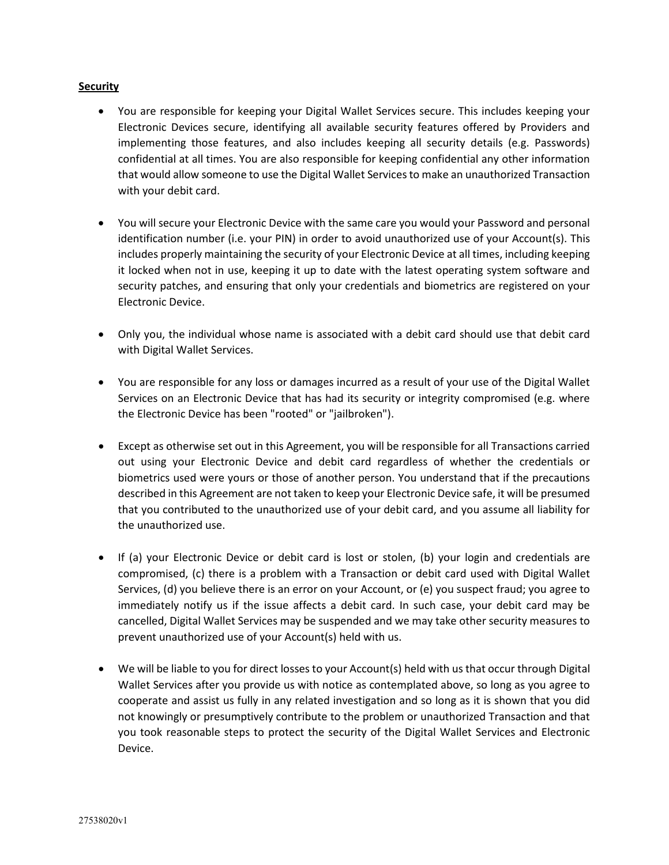### **Security**

- You are responsible for keeping your Digital Wallet Services secure. This includes keeping your Electronic Devices secure, identifying all available security features offered by Providers and implementing those features, and also includes keeping all security details (e.g. Passwords) confidential at all times. You are also responsible for keeping confidential any other information that would allow someone to use the Digital Wallet Services to make an unauthorized Transaction with your debit card.
- You will secure your Electronic Device with the same care you would your Password and personal identification number (i.e. your PIN) in order to avoid unauthorized use of your Account(s). This includes properly maintaining the security of your Electronic Device at all times, including keeping it locked when not in use, keeping it up to date with the latest operating system software and security patches, and ensuring that only your credentials and biometrics are registered on your Electronic Device.
- Only you, the individual whose name is associated with a debit card should use that debit card with Digital Wallet Services.
- You are responsible for any loss or damages incurred as a result of your use of the Digital Wallet Services on an Electronic Device that has had its security or integrity compromised (e.g. where the Electronic Device has been "rooted" or "jailbroken").
- Except as otherwise set out in this Agreement, you will be responsible for all Transactions carried out using your Electronic Device and debit card regardless of whether the credentials or biometrics used were yours or those of another person. You understand that if the precautions described in this Agreement are not taken to keep your Electronic Device safe, it will be presumed that you contributed to the unauthorized use of your debit card, and you assume all liability for the unauthorized use.
- If (a) your Electronic Device or debit card is lost or stolen, (b) your login and credentials are compromised, (c) there is a problem with a Transaction or debit card used with Digital Wallet Services, (d) you believe there is an error on your Account, or (e) you suspect fraud; you agree to immediately notify us if the issue affects a debit card. In such case, your debit card may be cancelled, Digital Wallet Services may be suspended and we may take other security measures to prevent unauthorized use of your Account(s) held with us.
- We will be liable to you for direct losses to your Account(s) held with us that occur through Digital Wallet Services after you provide us with notice as contemplated above, so long as you agree to cooperate and assist us fully in any related investigation and so long as it is shown that you did not knowingly or presumptively contribute to the problem or unauthorized Transaction and that you took reasonable steps to protect the security of the Digital Wallet Services and Electronic Device.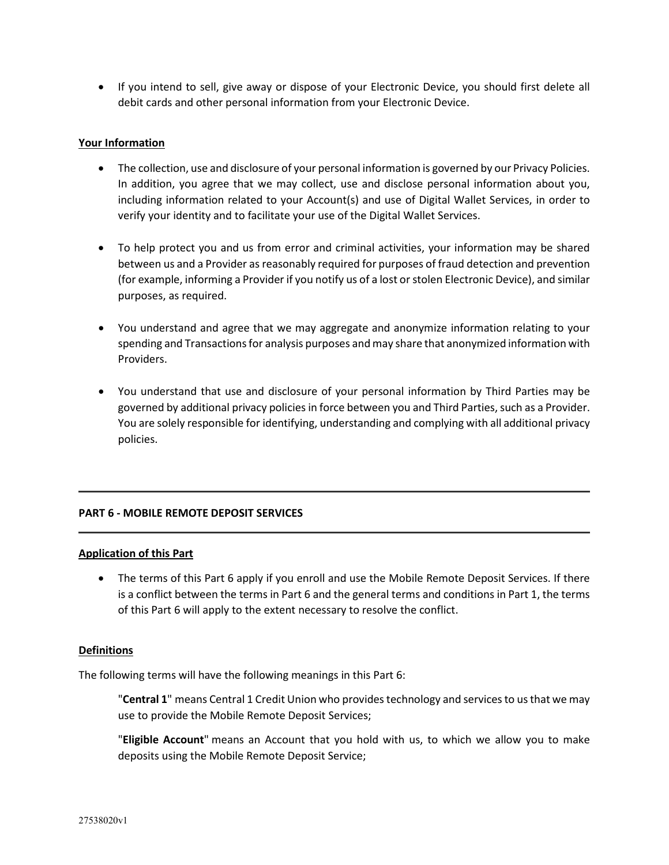• If you intend to sell, give away or dispose of your Electronic Device, you should first delete all debit cards and other personal information from your Electronic Device.

### **Your Information**

- The collection, use and disclosure of your personal information is governed by our Privacy Policies. In addition, you agree that we may collect, use and disclose personal information about you, including information related to your Account(s) and use of Digital Wallet Services, in order to verify your identity and to facilitate your use of the Digital Wallet Services.
- To help protect you and us from error and criminal activities, your information may be shared between us and a Provider as reasonably required for purposes of fraud detection and prevention (for example, informing a Provider if you notify us of a lost or stolen Electronic Device), and similar purposes, as required.
- You understand and agree that we may aggregate and anonymize information relating to your spending and Transactions for analysis purposes and may share that anonymized information with Providers.
- You understand that use and disclosure of your personal information by Third Parties may be governed by additional privacy policies in force between you and Third Parties, such as a Provider. You are solely responsible for identifying, understanding and complying with all additional privacy policies.

# **PART 6 - MOBILE REMOTE DEPOSIT SERVICES**

#### **Application of this Part**

• The terms of this Part 6 apply if you enroll and use the Mobile Remote Deposit Services. If there is a conflict between the terms in Part 6 and the general terms and conditions in Part 1, the terms of this Part 6 will apply to the extent necessary to resolve the conflict.

#### **Definitions**

The following terms will have the following meanings in this Part 6:

"**Central 1**" means Central 1 Credit Union who provides technology and services to us that we may use to provide the Mobile Remote Deposit Services;

"**Eligible Account**" means an Account that you hold with us, to which we allow you to make deposits using the Mobile Remote Deposit Service;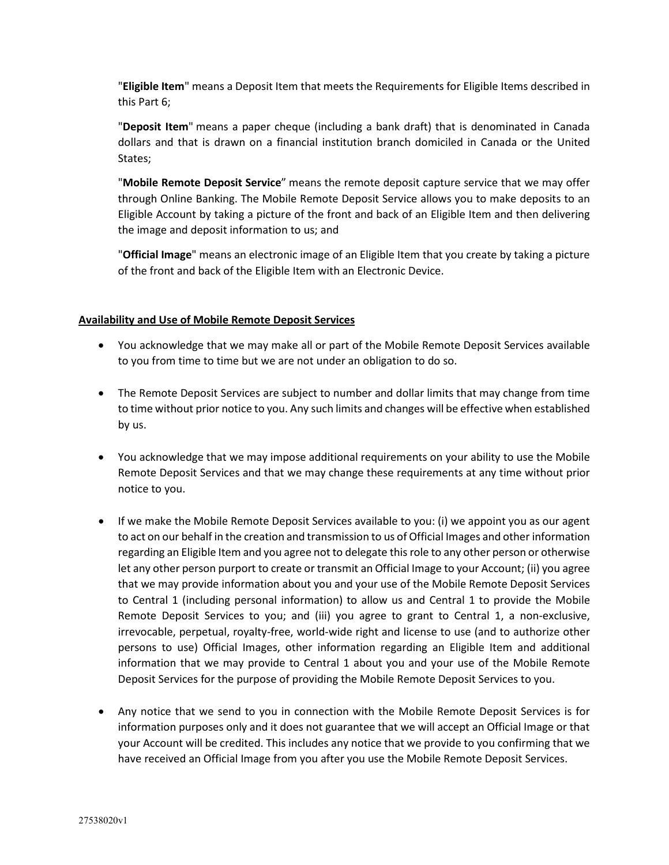"**Eligible Item**" means a Deposit Item that meets the Requirements for Eligible Items described in this Part 6;

"**Deposit Item**" means a paper cheque (including a bank draft) that is denominated in Canada dollars and that is drawn on a financial institution branch domiciled in Canada or the United States;

"**Mobile Remote Deposit Service**" means the remote deposit capture service that we may offer through Online Banking. The Mobile Remote Deposit Service allows you to make deposits to an Eligible Account by taking a picture of the front and back of an Eligible Item and then delivering the image and deposit information to us; and

"**Official Image**" means an electronic image of an Eligible Item that you create by taking a picture of the front and back of the Eligible Item with an Electronic Device.

### **Availability and Use of Mobile Remote Deposit Services**

- You acknowledge that we may make all or part of the Mobile Remote Deposit Services available to you from time to time but we are not under an obligation to do so.
- The Remote Deposit Services are subject to number and dollar limits that may change from time to time without prior notice to you. Any such limits and changes will be effective when established by us.
- You acknowledge that we may impose additional requirements on your ability to use the Mobile Remote Deposit Services and that we may change these requirements at any time without prior notice to you.
- If we make the Mobile Remote Deposit Services available to you: (i) we appoint you as our agent to act on our behalf in the creation and transmission to us of Official Images and other information regarding an Eligible Item and you agree not to delegate this role to any other person or otherwise let any other person purport to create or transmit an Official Image to your Account; (ii) you agree that we may provide information about you and your use of the Mobile Remote Deposit Services to Central 1 (including personal information) to allow us and Central 1 to provide the Mobile Remote Deposit Services to you; and (iii) you agree to grant to Central 1, a non-exclusive, irrevocable, perpetual, royalty-free, world-wide right and license to use (and to authorize other persons to use) Official Images, other information regarding an Eligible Item and additional information that we may provide to Central 1 about you and your use of the Mobile Remote Deposit Services for the purpose of providing the Mobile Remote Deposit Services to you.
- Any notice that we send to you in connection with the Mobile Remote Deposit Services is for information purposes only and it does not guarantee that we will accept an Official Image or that your Account will be credited. This includes any notice that we provide to you confirming that we have received an Official Image from you after you use the Mobile Remote Deposit Services.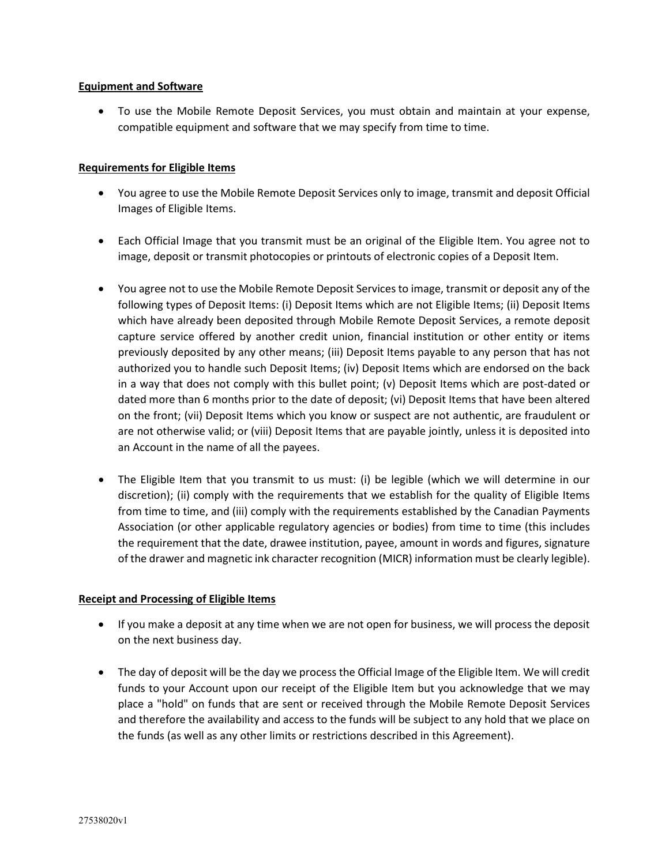### **Equipment and Software**

• To use the Mobile Remote Deposit Services, you must obtain and maintain at your expense, compatible equipment and software that we may specify from time to time.

### **Requirements for Eligible Items**

- You agree to use the Mobile Remote Deposit Services only to image, transmit and deposit Official Images of Eligible Items.
- Each Official Image that you transmit must be an original of the Eligible Item. You agree not to image, deposit or transmit photocopies or printouts of electronic copies of a Deposit Item.
- You agree not to use the Mobile Remote Deposit Services to image, transmit or deposit any of the following types of Deposit Items: (i) Deposit Items which are not Eligible Items; (ii) Deposit Items which have already been deposited through Mobile Remote Deposit Services, a remote deposit capture service offered by another credit union, financial institution or other entity or items previously deposited by any other means; (iii) Deposit Items payable to any person that has not authorized you to handle such Deposit Items; (iv) Deposit Items which are endorsed on the back in a way that does not comply with this bullet point; (v) Deposit Items which are post-dated or dated more than 6 months prior to the date of deposit; (vi) Deposit Items that have been altered on the front; (vii) Deposit Items which you know or suspect are not authentic, are fraudulent or are not otherwise valid; or (viii) Deposit Items that are payable jointly, unless it is deposited into an Account in the name of all the payees.
- The Eligible Item that you transmit to us must: (i) be legible (which we will determine in our discretion); (ii) comply with the requirements that we establish for the quality of Eligible Items from time to time, and (iii) comply with the requirements established by the Canadian Payments Association (or other applicable regulatory agencies or bodies) from time to time (this includes the requirement that the date, drawee institution, payee, amount in words and figures, signature of the drawer and magnetic ink character recognition (MICR) information must be clearly legible).

# **Receipt and Processing of Eligible Items**

- If you make a deposit at any time when we are not open for business, we will process the deposit on the next business day.
- The day of deposit will be the day we process the Official Image of the Eligible Item. We will credit funds to your Account upon our receipt of the Eligible Item but you acknowledge that we may place a "hold" on funds that are sent or received through the Mobile Remote Deposit Services and therefore the availability and access to the funds will be subject to any hold that we place on the funds (as well as any other limits or restrictions described in this Agreement).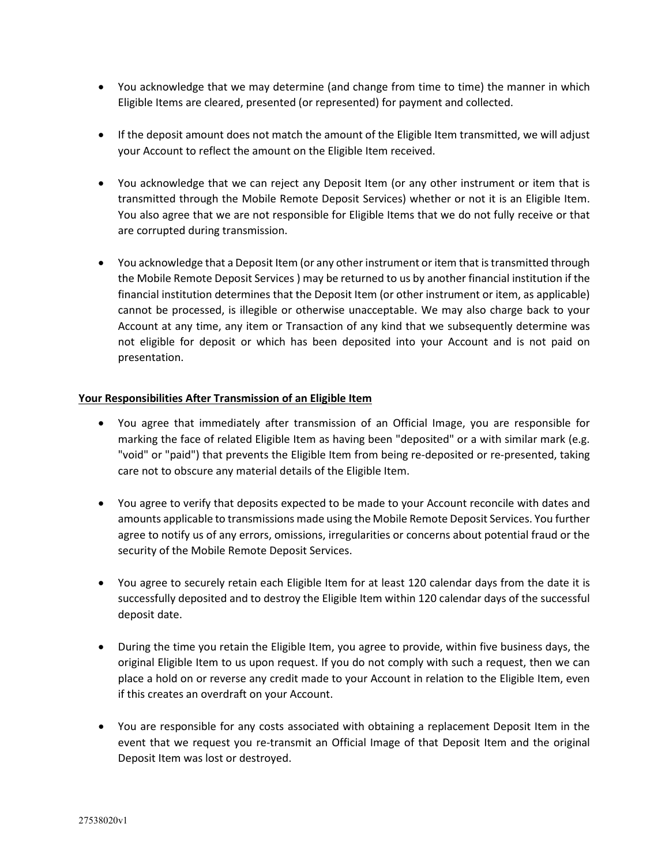- You acknowledge that we may determine (and change from time to time) the manner in which Eligible Items are cleared, presented (or represented) for payment and collected.
- If the deposit amount does not match the amount of the Eligible Item transmitted, we will adjust your Account to reflect the amount on the Eligible Item received.
- You acknowledge that we can reject any Deposit Item (or any other instrument or item that is transmitted through the Mobile Remote Deposit Services) whether or not it is an Eligible Item. You also agree that we are not responsible for Eligible Items that we do not fully receive or that are corrupted during transmission.
- You acknowledge that a Deposit Item (or any other instrument or item that is transmitted through the Mobile Remote Deposit Services ) may be returned to us by another financial institution if the financial institution determines that the Deposit Item (or other instrument or item, as applicable) cannot be processed, is illegible or otherwise unacceptable. We may also charge back to your Account at any time, any item or Transaction of any kind that we subsequently determine was not eligible for deposit or which has been deposited into your Account and is not paid on presentation.

# **Your Responsibilities After Transmission of an Eligible Item**

- You agree that immediately after transmission of an Official Image, you are responsible for marking the face of related Eligible Item as having been "deposited" or a with similar mark (e.g. "void" or "paid") that prevents the Eligible Item from being re-deposited or re-presented, taking care not to obscure any material details of the Eligible Item.
- You agree to verify that deposits expected to be made to your Account reconcile with dates and amounts applicable to transmissions made using the Mobile Remote Deposit Services. You further agree to notify us of any errors, omissions, irregularities or concerns about potential fraud or the security of the Mobile Remote Deposit Services.
- You agree to securely retain each Eligible Item for at least 120 calendar days from the date it is successfully deposited and to destroy the Eligible Item within 120 calendar days of the successful deposit date.
- During the time you retain the Eligible Item, you agree to provide, within five business days, the original Eligible Item to us upon request. If you do not comply with such a request, then we can place a hold on or reverse any credit made to your Account in relation to the Eligible Item, even if this creates an overdraft on your Account.
- You are responsible for any costs associated with obtaining a replacement Deposit Item in the event that we request you re-transmit an Official Image of that Deposit Item and the original Deposit Item was lost or destroyed.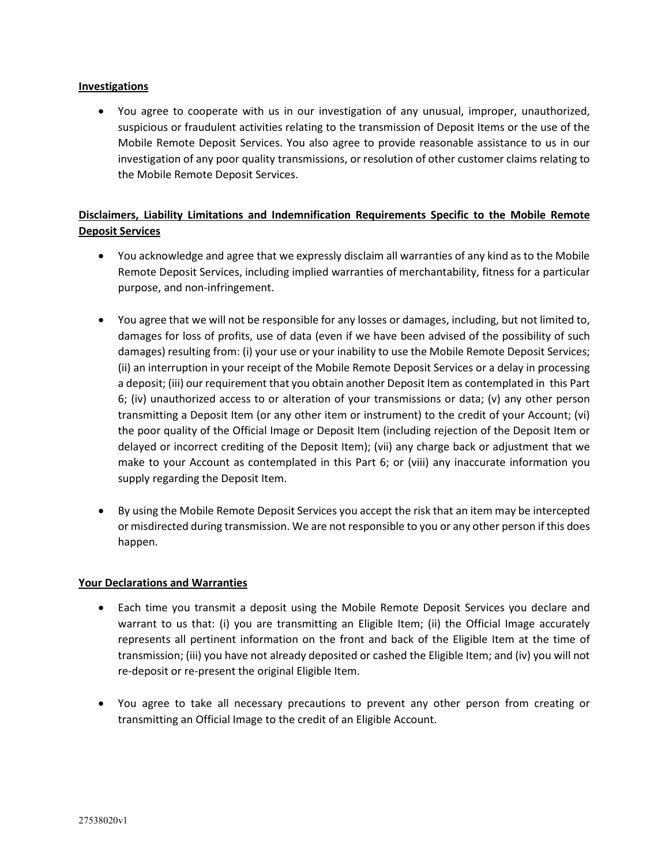### **Investigations**

• You agree to cooperate with us in our investigation of any unusual, improper, unauthorized, suspicious or fraudulent activities relating to the transmission of Deposit Items or the use of the Mobile Remote Deposit Services. You also agree to provide reasonable assistance to us in our investigation of any poor quality transmissions, or resolution of other customer claims relating to the Mobile Remote Deposit Services.

# **Disclaimers, Liability Limitations and Indemnification Requirements Specific to the Mobile Remote Deposit Services**

- You acknowledge and agree that we expressly disclaim all warranties of any kind as to the Mobile Remote Deposit Services, including implied warranties of merchantability, fitness for a particular purpose, and non-infringement.
- You agree that we will not be responsible for any losses or damages, including, but not limited to, damages for loss of profits, use of data (even if we have been advised of the possibility of such damages) resulting from: (i) your use or your inability to use the Mobile Remote Deposit Services; (ii) an interruption in your receipt of the Mobile Remote Deposit Services or a delay in processing a deposit; (iii) our requirement that you obtain another Deposit Item as contemplated in this Part 6; (iv) unauthorized access to or alteration of your transmissions or data; (v) any other person transmitting a Deposit Item (or any other item or instrument) to the credit of your Account; (vi) the poor quality of the Official Image or Deposit Item (including rejection of the Deposit Item or delayed or incorrect crediting of the Deposit Item); (vii) any charge back or adjustment that we make to your Account as contemplated in this Part 6; or (viii) any inaccurate information you supply regarding the Deposit Item.
- By using the Mobile Remote Deposit Services you accept the risk that an item may be intercepted or misdirected during transmission. We are not responsible to you or any other person if this does happen.

# **Your Declarations and Warranties**

- Each time you transmit a deposit using the Mobile Remote Deposit Services you declare and warrant to us that: (i) you are transmitting an Eligible Item; (ii) the Official Image accurately represents all pertinent information on the front and back of the Eligible Item at the time of transmission; (iii) you have not already deposited or cashed the Eligible Item; and (iv) you will not re-deposit or re-present the original Eligible Item.
- You agree to take all necessary precautions to prevent any other person from creating or transmitting an Official Image to the credit of an Eligible Account.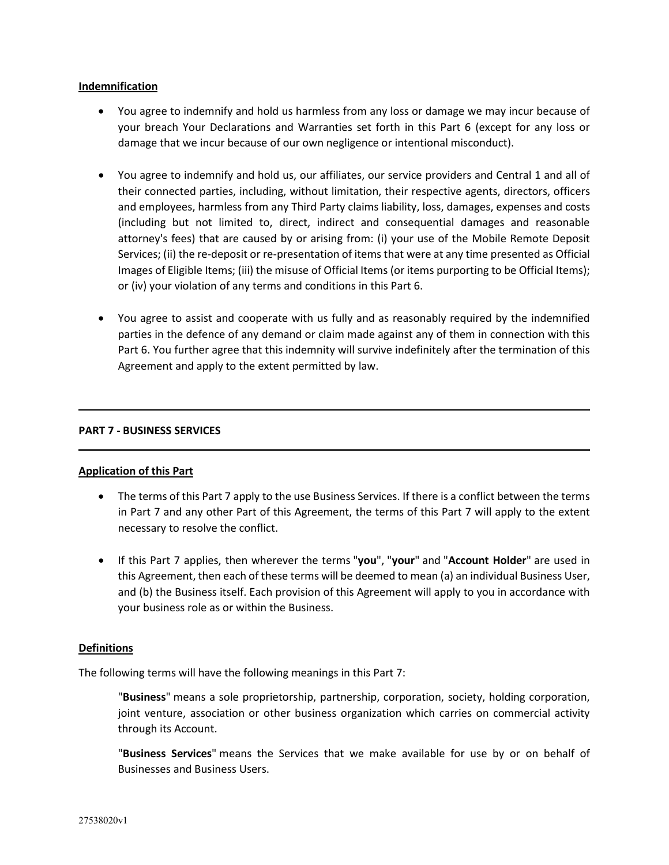#### **Indemnification**

- You agree to indemnify and hold us harmless from any loss or damage we may incur because of your breach Your Declarations and Warranties set forth in this Part 6 (except for any loss or damage that we incur because of our own negligence or intentional misconduct).
- You agree to indemnify and hold us, our affiliates, our service providers and Central 1 and all of their connected parties, including, without limitation, their respective agents, directors, officers and employees, harmless from any Third Party claims liability, loss, damages, expenses and costs (including but not limited to, direct, indirect and consequential damages and reasonable attorney's fees) that are caused by or arising from: (i) your use of the Mobile Remote Deposit Services; (ii) the re-deposit or re-presentation of items that were at any time presented as Official Images of Eligible Items; (iii) the misuse of Official Items (or items purporting to be Official Items); or (iv) your violation of any terms and conditions in this Part 6.
- You agree to assist and cooperate with us fully and as reasonably required by the indemnified parties in the defence of any demand or claim made against any of them in connection with this Part 6. You further agree that this indemnity will survive indefinitely after the termination of this Agreement and apply to the extent permitted by law.

#### **PART 7 - BUSINESS SERVICES**

#### **Application of this Part**

- The terms of this Part 7 apply to the use Business Services. If there is a conflict between the terms in Part 7 and any other Part of this Agreement, the terms of this Part 7 will apply to the extent necessary to resolve the conflict.
- If this Part 7 applies, then wherever the terms "**you**", "**your**" and "**Account Holder**" are used in this Agreement, then each of these terms will be deemed to mean (a) an individual Business User, and (b) the Business itself. Each provision of this Agreement will apply to you in accordance with your business role as or within the Business.

#### **Definitions**

The following terms will have the following meanings in this Part 7:

"**Business**" means a sole proprietorship, partnership, corporation, society, holding corporation, joint venture, association or other business organization which carries on commercial activity through its Account.

"**Business Services**" means the Services that we make available for use by or on behalf of Businesses and Business Users.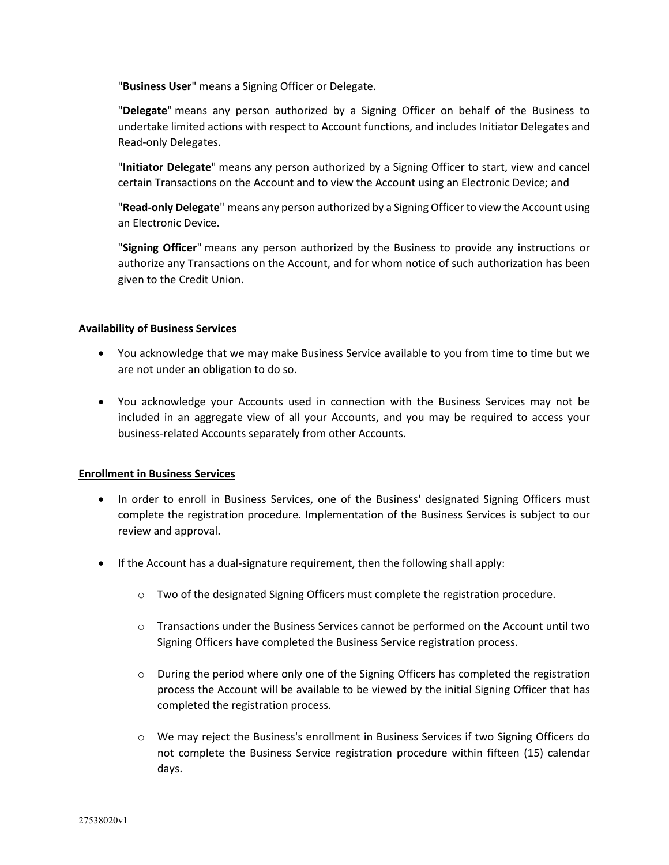"**Business User**" means a Signing Officer or Delegate.

"**Delegate**" means any person authorized by a Signing Officer on behalf of the Business to undertake limited actions with respect to Account functions, and includes Initiator Delegates and Read-only Delegates.

"**Initiator Delegate**" means any person authorized by a Signing Officer to start, view and cancel certain Transactions on the Account and to view the Account using an Electronic Device; and

"**Read-only Delegate**" means any person authorized by a Signing Officer to view the Account using an Electronic Device.

"**Signing Officer**" means any person authorized by the Business to provide any instructions or authorize any Transactions on the Account, and for whom notice of such authorization has been given to the Credit Union.

### **Availability of Business Services**

- You acknowledge that we may make Business Service available to you from time to time but we are not under an obligation to do so.
- You acknowledge your Accounts used in connection with the Business Services may not be included in an aggregate view of all your Accounts, and you may be required to access your business-related Accounts separately from other Accounts.

# **Enrollment in Business Services**

- In order to enroll in Business Services, one of the Business' designated Signing Officers must complete the registration procedure. Implementation of the Business Services is subject to our review and approval.
- If the Account has a dual-signature requirement, then the following shall apply:
	- o Two of the designated Signing Officers must complete the registration procedure.
	- $\circ$  Transactions under the Business Services cannot be performed on the Account until two Signing Officers have completed the Business Service registration process.
	- $\circ$  During the period where only one of the Signing Officers has completed the registration process the Account will be available to be viewed by the initial Signing Officer that has completed the registration process.
	- o We may reject the Business's enrollment in Business Services if two Signing Officers do not complete the Business Service registration procedure within fifteen (15) calendar days.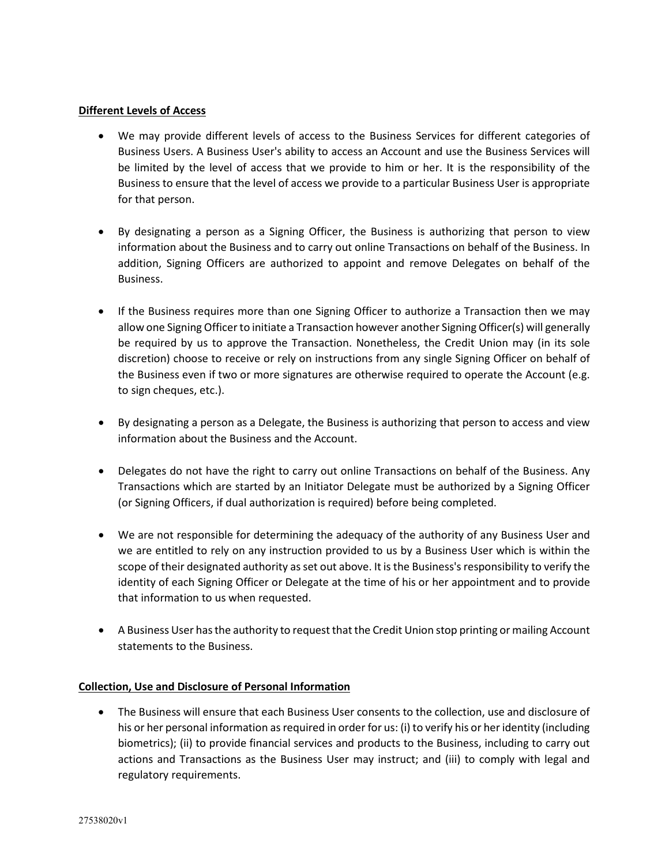# **Different Levels of Access**

- We may provide different levels of access to the Business Services for different categories of Business Users. A Business User's ability to access an Account and use the Business Services will be limited by the level of access that we provide to him or her. It is the responsibility of the Business to ensure that the level of access we provide to a particular Business User is appropriate for that person.
- By designating a person as a Signing Officer, the Business is authorizing that person to view information about the Business and to carry out online Transactions on behalf of the Business. In addition, Signing Officers are authorized to appoint and remove Delegates on behalf of the Business.
- If the Business requires more than one Signing Officer to authorize a Transaction then we may allow one Signing Officer to initiate a Transaction however another Signing Officer(s) will generally be required by us to approve the Transaction. Nonetheless, the Credit Union may (in its sole discretion) choose to receive or rely on instructions from any single Signing Officer on behalf of the Business even if two or more signatures are otherwise required to operate the Account (e.g. to sign cheques, etc.).
- By designating a person as a Delegate, the Business is authorizing that person to access and view information about the Business and the Account.
- Delegates do not have the right to carry out online Transactions on behalf of the Business. Any Transactions which are started by an Initiator Delegate must be authorized by a Signing Officer (or Signing Officers, if dual authorization is required) before being completed.
- We are not responsible for determining the adequacy of the authority of any Business User and we are entitled to rely on any instruction provided to us by a Business User which is within the scope of their designated authority as set out above. It is the Business's responsibility to verify the identity of each Signing Officer or Delegate at the time of his or her appointment and to provide that information to us when requested.
- A Business User has the authority to request that the Credit Union stop printing or mailing Account statements to the Business.

# **Collection, Use and Disclosure of Personal Information**

• The Business will ensure that each Business User consents to the collection, use and disclosure of his or her personal information as required in order for us: (i) to verify his or her identity (including biometrics); (ii) to provide financial services and products to the Business, including to carry out actions and Transactions as the Business User may instruct; and (iii) to comply with legal and regulatory requirements.